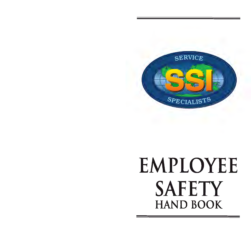

# **EMPLOYEE SAFETY HAND BOOK**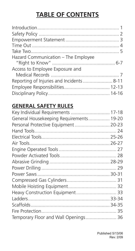# **TABLE OF CONTENTS**

| Hazard Communication - The Employee      |  |
|------------------------------------------|--|
|                                          |  |
| Access to Employee Exposure and          |  |
|                                          |  |
| Reporting of Injuries and Incidents 8-11 |  |
|                                          |  |
|                                          |  |

## **GENERAL SAFETY RULES**

| Key Individual Requirements  17-18      |  |
|-----------------------------------------|--|
| General Housekeeping Requirements 19-20 |  |
| Personal Protective Equipment  20-23    |  |
|                                         |  |
|                                         |  |
|                                         |  |
|                                         |  |
|                                         |  |
|                                         |  |
|                                         |  |
|                                         |  |
|                                         |  |
|                                         |  |
| Heavy Construction Equipment 33         |  |
|                                         |  |
|                                         |  |
|                                         |  |
| Temporary Floor and Wall Openings 36    |  |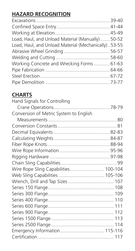## **HAZARD RECOGNITION**

| Load, Haul, and Unload Material (Manually)  50-52   |  |
|-----------------------------------------------------|--|
| Load, Haul, and Unload Material (Mechanically)53-55 |  |
|                                                     |  |
|                                                     |  |
| Working Concrete and Wrecking Forms 61-63           |  |
|                                                     |  |
|                                                     |  |
|                                                     |  |

## **CHARTS**

| Hand Signals for Controlling           |  |
|----------------------------------------|--|
|                                        |  |
| Conversion of Metric System to English |  |
|                                        |  |
|                                        |  |
|                                        |  |
|                                        |  |
|                                        |  |
|                                        |  |
|                                        |  |
|                                        |  |
| Wire Rope Sling Capabilities 100-104   |  |
|                                        |  |
|                                        |  |
|                                        |  |
|                                        |  |
|                                        |  |
|                                        |  |
|                                        |  |
|                                        |  |
|                                        |  |
| Emergency Information 115-116          |  |
|                                        |  |
|                                        |  |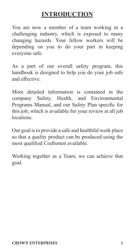## **INTRODUCTION**

You are now a member of a team working in a challenging industry, which is exposed to many changing hazards. Your fellow workers will be depending on you to do your part in keeping everyone safe.

As a part of our overall safety program, this handbook is designed to help you do your job safe and effective.

More detailed information is contained in the company Safety, Health, and Environmental Programs Manual, and our Safety Plan specific for this job, which is available for your review at all job locations.

Our goal is to provide a safe and healthful work place so that a quality product can be produced using the most qualified Craftsmen available.

Working together as a Team, we can achieve that goal.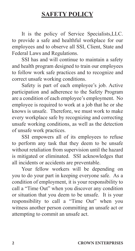## **SAFETY POLICY**

 It is the policy of Service Specialists,LLC. to provide a safe and healthful workplace for our employees and to observe all SSI, Client, State and Federal Laws and Regulations.

 SSI has and will continue to maintain a safety and health program designed to train our employees to follow work safe practices and to recognize and correct unsafe working conditions.

 Safety is part of each employee's job. Active participation and adherence to the Safety Program are a condition of each employee's employment. No employee is required to work at a job that he or she knows is unsafe. Therefore, we must work to make every workplace safe by recognizing and correcting unsafe working conditions, as well as the detection of unsafe work practices.

 SSI empowers all of its employees to refuse to perform any task that they deem to be unsafe without retaliation from supervision until the hazard is mitigated or eliminated. SSI acknowledges that all incidents or accidents are preventable.

 Your fellow workers will be depending on you to do your part in keeping everyone safe. As a condition of employment, it is your responsibility to call a "Time Out" when you discover any condition or situation that you deem to be unsafe. It is your responsibility to call a "Time Out" when you witness another person committing an unsafe act or attempting to commit an unsafe act.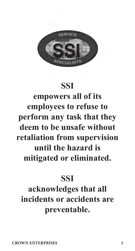

# **SSI**

**empowers all of its employees to refuse to perform any task that they deem to be unsafe without retaliation from supervision until the hazard is mitigated or eliminated.** 

# **SSI**

# **acknowledges that all incidents or accidents are preventable.**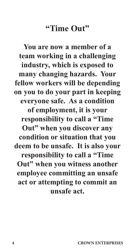# **"Time Out"**

**You are now a member of a team working in a challenging industry, which is exposed to many changing hazards. Your fellow workers will be depending on you to do your part in keeping everyone safe. As a condition of employment, it is your responsibility to call a "Time Out" when you discover any condition or situation that you deem to be unsafe. It is also your responsibility to call a "Time Out" when you witness another employee committing an unsafe act or attempting to commit an unsafe act.**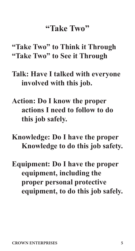# **"Take Two"**

**"Take Two" to Think it Through "Take Two" to See it Through**

- **Talk: Have I talked with everyone involved with this job.**
- **Action: Do I know the proper actions I need to follow to do this job safely.**

**Knowledge: Do I have the proper Knowledge to do this job safety.**

**Equipment: Do I have the proper equipment, including the proper personal protective equipment, to do this job safely.**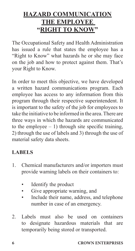## **HAZARD COMMUNICATION THE EMPLOYEE "RIGHT TO KNOW"**

The Occupational Safety and Health Administration has issued a rule that states the employee has a "Right to Know" what hazards he or she may face on the job and how to protect against them. That's your Right to Know.

In order to meet this objective, we have developed a written hazard communications program. Each employee has access to any information from this program through their respective superintendent. It is important to the safety of the job for employees to take the initiative to be informed in the area. There are three ways in which the hazards are communicated to the employee  $-1$ ) through site specific training, 2) through the use of labels and 3) through the use of material safety data sheets.

## **LABELS**

- 1. Chemical manufacturers and/or importers must provide warning labels on their containers to:
	- Identify the product
	- Give appropriate warning, and
	- Include their name, address, and telephone number in case of an emergency.
- 2. Labels must also be used on containers to designate hazardous materials that are temporarily being stored or transported.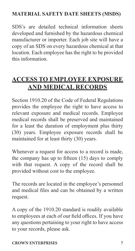## **MATERIAL SAFETY DATE SHEETS (MSDS)**

SDS's are detailed technical information sheets developed and furnished by the hazardous chemical manufacturer or importer. Each job site will have a copy of an SDS on every hazardous chemical at that location. Each employee has the right to be provided this information.

## **ACCESS TO EMPLOYEE EXPOSURE AND MEDICAL RECORDS**

Section 1910.20 of the Code of Federal Regulations provides the employee the right to have access to relevant exposure and medical records. Employee medical records shall be preserved and maintained for a least the duration of employment plus thirty (30) years. Employee exposure records shall be maintained for at least thirty (30) years.

Whenever a request for access to a record is made, the company has up to fifteen (15) days to comply with that request. A copy of the record shall be provided without cost to the employee.

The records are located in the employee's personnel and medical files and can be obtained by a written request.

A copy of the 1910.20 standard is readily available to employees at each of our field offices. If you have any questions pertaining to your right to have access to your records, please ask.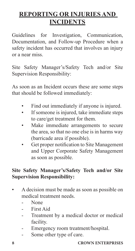# **REPORTING OR INJURIES AND INCIDENTS**

Guidelines for Investigation, Communication, Documentation, and Follow-up Procedure when a safety incident has occurred that involves an injury or a near miss.

Site Safety Manager's/Safety Tech and/or Site Supervision Responsibility:

As soon as an Incident occurs these are some steps that should be followed immediately:

- Find out immediately if anyone is injured.
- If someone is injured, take immediate steps to care/get treatment for them.
- Make immediate arrangements to secure the area, so that no one else is in harms way (barricade area if possible).
- Get proper notification to Site Management and Upper Corporate Safety Management as soon as possible.

## **Site Safety Manager's/Safety Tech and/or Site Supervision Responsibility:**

- A decision must be made as soon as possible on medical treatment needs.
	- N<sub>one</sub>
	- First Aid
	- Treatment by a medical doctor or medical facility.
	- Emergency room treatment/hospital.
	- Some other type of care.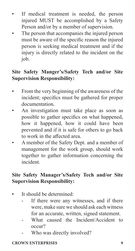- If medical treatment is needed, the person injured MUST be accomplished by a Safety Person and/or by a member of supervision.
- The person that accompanies the injured person must be aware of the specific reason the injured person is seeking medical treatment and if the injury is directly related to the incident on the job.

## **Site Safety Manger's/Safety Tech and/or Site Supervision Responsibility:**

- From the very beginning of the awareness of the incident; specifics must be gathered for proper documentation.
- An investigation must take place as soon as possible to gather specifics on what happened, how it happened, how it could have been prevented and if it is safe for others to go back to work in the affected area.
- A member of the Safety Dept. and a member of management for the work group, should work together to gather information concerning the incident.

## **Site Safety Manager's/Safety Tech and/or Site Supervision Responsibility:**

- It should be determined:
	- If there were any witnesses, and if there were, make sure we should ask each witness for an accurate, written, signed statement.
	- What caused the Incident/Accident to occur?
	- Who was directly involved?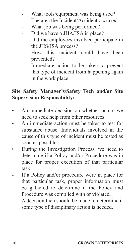- What tools/equipment was being used?
- The area the Incident/Accident occurred.
- What job was being performed?
- Did we have a JHA/JSA in place?
- Did the employees involved participate in the JHS/JSA process?
- How this incident could have been prevented?
- Immediate action to be taken to prevent this type of incident from happening again in the work place.

## **Site Safety Manager's/Safety Tech and/or Site Supervision Responsibility:**

- An immediate decision on whether or not we need to seek help from other resources.
- An immediate action must be taken to test for substance abuse. Individuals involved in the cause of this type of incident must be tested as soon as possible.
- During the Investigation Process, we need to determine if a Policy and/or Procedure was in place for proper execution of that particular task.
- If a Policy and/or procedure were in place for that particular task, proper information must be gathered to determine if the Policy and Procedure was complied with or violated.
- A decision then should be made to determine if some type of disciplinary action is needed.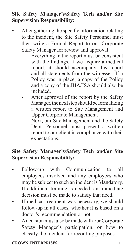## **Site Safety Manager's/Safety Tech and/or Site Supervision Responsibility:**

- After gathering the specific information relating to the incident, the Site Safety Personnel must then write a Formal Report to our Corporate Safety Manager for review and approval.
	- Everything in the report must be consistent with the findings. If we acquire a medical report, it should accompany this report and all statements from the witnesses. If a Policy was in place, a copy of the Policy and a copy of the JHA/JSA should also be included.
	- After approval of the report by the Safety Manager, the next step should be formalizing a written report to Site Management and Upper Corporate Management.
	- Next, our Site Management and the Safety Dept. Personnel must present a written report to our client in compliance with their expectations.

## **Site Safety Manager's/Safety Tech and/or Site Supervision Responsibility:**

- Follow-up with Communication to all employees involved and any employees who may be subject to such an incident is Mandatory. If additional training is needed, an immediate decision must be made to satisfy that need.
- If medical treatment was necessary, we should follow-up in all cases, whether it is based on a doctor's recommendation or not.
- A decision must also be made with our Corporate Safety Manager's participation, on how to classify the Incident for recording purposes.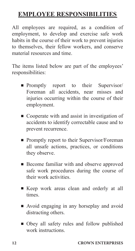## **EMPLOYEE RESPONSIBILITIES**

All employees are required, as a condition of employment, to develop and exercise safe work habits in the course of their work to prevent injuries to themselves, their fellow workers, and conserve material resources and time.

The items listed below are part of the employees' responsibilities:

- n Promptly report to their Supervisor Foreman all accidents, near misses and injuries occurring within the course of their employment.
- Cooperate with and assist in investigation of accidents to identify correctable cause and to prevent recurrence.
- Promptly report to their Supervisor/Foreman all unsafe actions, practices, or conditions they observe.
- Become familiar with and observe approved safe work procedures during the course of their work activities.
- <sup>n</sup> Keep work areas clean and orderly at all times.
- Avoid engaging in any horseplay and avoid distracting others.
- <sup>n</sup> Obey all safety rules and follow published work instructions.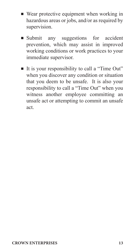- $\blacksquare$  Wear protective equipment when working in hazardous areas or jobs, and/or as required by supervision.
- <sup>n</sup> Submit any suggestions for accident prevention, which may assist in improved working conditions or work practices to your immediate supervisor.
- It is your responsibility to call a "Time Out" when you discover any condition or situation that you deem to be unsafe. It is also your responsibility to call a "Time Out" when you witness another employee committing an unsafe act or attempting to commit an unsafe act.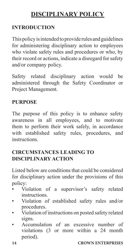## **DISCIPLINARY POLICY**

#### **INTRODUCTION**

This policy is intended to provide rules and guidelines for administering disciplinary action to employees who violate safety rules and procedures or who, by their record or actions, indicate a disregard for safety and/or company policy.

Safety related disciplinary action would be administered through the Safety Coordinator or Project Management.

#### **PURPOSE**

The purpose of this policy is to enhance safety awareness in all employees, and to motivate them to perform their work safely, in accordance with established safety rules, procedures, and instructions.

## **CIRCUMSTANCES LEADING TO DISCIPLINARY ACTION**

Listed below are conditions that could be considered for disciplinary action under the provisions of this policy:

- Violation of a supervisor's safety related instructions.
- Violation of established safety rules and/or procedures.
- Violation of instructions on posted safety related signs.
- Accumulation of an excessive number of violations (3 or more within a 24 month period).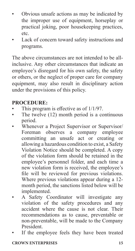- Obvious unsafe actions as may be indicated by the improper use of equipment, horseplay or practical joking, poor housekeeping practices, etc.
- Lack of concern toward safety instructions and programs.

The above circumstances are not intended to be allinclusive. Any other circumstances that indicate an employee's disregard for his own safety, the safety or others, or the neglect of proper care for company equipment, may also result in disciplinary action under the provisions of this policy.

#### **PROCEDURE:**

- This program is effective as of  $1/1/97$ .
- The twelve (12) month period is a continuous period.
- Whenever a Project Supervisor or Supervisor/ Foreman observes a company employee committing an unsafe act or creating or allowing a hazardous condition to exist, a Safety Violation Notice should be completed. A copy of the violation form should be retained in the employee's personnel folder, and each time a new violation form is received, the employee's file will be reviewed for previous violations. Where previous violations appear during a 12 month period, the sanctions listed below will be implemented.
- A Safety Coordinator will investigate any violation of the safety procedures and any accident where the cause is not clear. Their recommendations as to cause, preventable or non-preventable, will be made to the Company President.
- If the employee feels they have been treated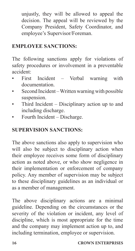unjustly, they will be allowed to appeal the decision. The appeal will be reviewed by the Company President, Safety Coordinator, and employee's Supervisor/Foreman.

## **EMPLOYEE SANCTIONS:**

The following sanctions apply for violations of safety procedures or involvement in a preventable accident:

- First Incident Verbal warning with documentation.
- Second Incident Written warning with possible suspension.
- Third Incident Disciplinary action up to and including discharge.
- Fourth Incident Discharge.

## **SUPERVISION SANCTIONS:**

The above sanctions also apply to supervision who will also be subject to disciplinary action when their employee receives some form of disciplinary action as noted above, or who show negligence in their implementation or enforcement of company policy. Any member of supervision may be subject to these disciplinary guidelines as an individual or as a member of management.

The above disciplinary actions are a minimal guideline. Depending on the circumstances or the severity of the violation or incident, any level of discipline, which is most appropriate for the time and the company may implement action up to, and including termination, employee or supervision.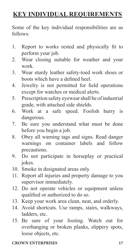## **KEY INDIVIDUAL REQUIREMENTS**

Some of the key individual responsibilities are as follows:

- 1. Report to works rested and physically fit to perform your job.
- 2. Wear closing suitable for weather and your work.
- 3. Wear sturdy leather safety-toed work shoes or boots which have a defined heel.
- 4. Jewelry is not permitted for field operations except for watches or medical alerts.
- 5. Prescription safety eyewear shall be of industrial grade, with attached side shields.
- 6. Work at a safe speed. Foolish hurry is dangerous.
- 7. Be sure you understand what must be done before you begin a job.
- 8. Obey all warning tags and signs. Read danger warnings on container labels and follow precautions.
- 9. Do not participate in horseplay or practical jokes.
- 10. Smoke in designated areas only.
- 11. Report all injuries and property damage to you supervisor immediately.
- 12. Do not operate vehicles or equipment unless qualified or authorized to do so.
- 13. Keep your work area clean, neat, and orderly.
- 14. Avoid shortcuts. Use ramps, stairs, walkways, ladders, etc.
- 15. Be sure of your footing. Watch out for overhanging or broken planks, slippery spots, loose objects, etc.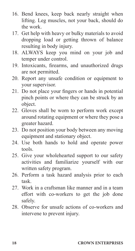- 16. Bend knees, keep back nearly straight when lifting. Leg muscles, not your back, should do the work.
- 17. Get help with heavy or bulky materials to avoid dropping load or getting thrown of balance resulting in body injury.
- 18. ALWAYS keep you mind on your job and temper under control.
- 19. Intoxicants, firearms, and unauthorized drugs are not permitted.
- 20. Report any unsafe condition or equipment to your supervisor.
- 21. Do not place your fingers or hands in potential pinch points or where they can be struck by an object.
- 22. Gloves shall be worn to perform work except around rotating equipment or where they pose a greater hazard.
- 23. Do not position your body between any moving equipment and stationary object.
- 24. Use both hands to hold and operate power tools.
- 25. Give your wholehearted support to our safety activities and familiarize yourself with our written safety program.
- 26. Perform a task hazard analysis prior to each task.
- 27. Work in a craftsman like manner and in a team effort with co-workers to get the job done safely.
- 28. Observe for unsafe actions of co-workers and intervene to prevent injury.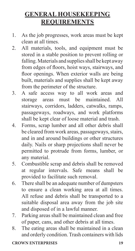## **GENERAL HOUSEKEEPING REQUIREMENTS**

- 1. As the job progresses, work areas must be kept clean at all times.
- 2. All materials, tools, and equipment must be stored in a stable position to prevent rolling or falling. Materials and supplies shall be kept away from edges of floors, hoist ways, stairways, and floor openings. When exterior walls are being built, materials and supplies shall be kept away from the perimeter of the structure.
- 3. A safe access way to all work areas and storage areas must be maintained. All stairways, corridors, ladders, catwalks, ramps, passageways, roadways, and work platforms shall be kept clear of loose material and trash.
- 4. Forms, scrap lumber and all other debris shall be cleared from work areas, passageways, stairs, and in and around buildings or other structures daily. Nails or sharp projections shall never be permitted to protrude from forms, lumber, or any material.
- 5. Combustible scrap and debris shall be removed at regular intervals. Safe means shall be provided to facilitate such removal.
- 6. There shall be an adequate number of dumpsters to ensure a clean working area at all times. All refuse and debris shall be transported to a suitable disposal area away from the job site and disposed of in a lawful manner.
- 7. Parking areas shall be maintained clean and free of paper, cans, and other debris at all times.
- 8. The eating areas shall be maintained in a clean and orderly condition. Trash containers with lids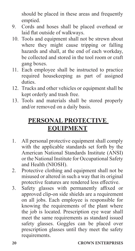should be placed in these areas and frequently emptied.

- 9. Cords and hoses shall be placed overhead or laid flat outside of walkways.
- 10. Tools and equipment shall not be strewn about where they might cause tripping or falling hazards and shall, at the end of each workday, be collected and stored in the tool room or craft gang boxes.
- 11. Each employee shall be instructed to practice required housekeeping as part of assigned duties.
- 12. Trucks and other vehicles or equipment shall be kept orderly and trash free.
- 13. Tools and materials shall be stored properly and/or removed on a daily basis.

## **PERSONAL PROTECTIVE EQUIPMENT**

- 1. All personal protective equipment shall comply with the applicable standards set forth by the American National Standards Institute (ANSI) or the National Institute for Occupational Safety and Health (NIOSH).
- 2. Protective clothing and equipment shall not be misused or altered in such a way that its original protective features are rendered less effective.
- 3. Safety glasses with permanently affixed or approved clip-on side shields are a requirement on all jobs. Each employee is responsible for knowing the requirements of the plant where the job is located. Prescription eye wear shall meet the same requirements as standard issued safety glasses. Goggles can be placed over prescription glasses until they meet the safety requirements.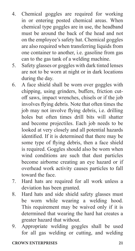- 4. Chemical goggles are required for working in or entering posted chemical areas. When chemical type goggles are in use, the headband must be around the back of the head and not on the employee's safety hat. Chemical goggles are also required when transferring liquids from one container to another, i.e. gasoline from gas can to the gas tank of a welding machine.
- 5. Safety glasses or goggles with dark tinted lenses are not to be worn at night or in dark locations during the day.
- 6. A face shield shall be worn over goggles with chipping, using grinders, buffers, friction cutoff saws, impact wrenches, chisels or if the job involves flying debris. Note that often times the job may not involve flying debris, i.e. drilling holes but often times drill bits will shatter and become projectiles. Each job needs to be looked at very closely and all potential hazards identified. If it is determined that there may be some type of flying debris, then a face shield is required. Goggles should also be worn when wind conditions are such that dust particles become airborne creating an eye hazard or if overhead work activity causes particles to fall toward the face.
- 7. Hard hats are required for all work unless a deviation has been granted.
- 8. Hard hats and side shield safety glasses must be worn while wearing a welding hood. This requirement may be waived only if it is determined that wearing the hard hat creates a greater hazard that without.
- 9. Appropriate welding goggles shall be used for all gas welding or cutting, and welding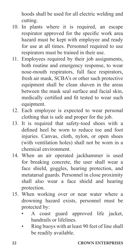hoods shall be used for all electric welding and cutting.

- 10. In plants where it is required, an escape respirator approved for the specific work area hazard must be kept with employee and ready for use at all times. Personnel required to use respirators must be trained in their use.
- 11. Employees required by their job assignments, both routine and emergency response, to wear nose-mouth respirators, full face respirators, fresh air mask, SCBA's or other such protective equipment shall be clean shaven in the areas between the mask seal surface and facial skin, medically certified and fit tested to wear such equipment.
- 12. Each employee is expected to wear personal clothing that is safe and proper for the job.
- 13. It is required that safety-toed shoes with a defined heel be worn to reduce toe and foot injuries. Canvas, cloth, nylon, or open shoes (with ventilation holes) shall not be worn in a chemical environment.
- 14. When an air operated jackhammer is used for breaking concrete, the user shall wear a face shield, goggles, hearing protection, and metatarsal guards. Personnel in close proximity shall also wear a face shield and hearing protection.
- 15. When working over or near water where a drowning hazard exists, personnel must be protected by:
	- A coast guard approved life jacket, handrails or lifelines.
	- Ring buoys with at least 90 feet of line shall be readily available.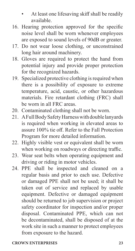- At least one lifesaving skiff shall be readily available.
- 16. Hearing protection approved for the specific noise level shall be worn whenever employees are exposed to sound levels of 90dB or greater.
- 17. Do not wear loose clothing, or unconstrained long hair around machinery.
- 18. Gloves are required to protect the hand from potential injury and provide proper protection for the recognized hazards.
- 19. Specialized protective clothing is required when there is a possibility of exposure to extreme temperature, acid, caustic, or other hazardous materials. Fire retardant clothing (FRC) shall be worn in all FRC areas.
- 20. Contaminated clothing shall not be worn.
- 21. A Full Body Safety Harness with double lanyards is required when working in elevated areas to assure 100% tie off. Refer to the Fall Protection Program for more detailed information.
- 22. Highly visible vest or equivalent shall be worn when working on roadways or directing traffic.
- 23. Wear seat belts when operating equipment and driving or riding in motor vehicles.
- 24. PPE shall be inspected and cleaned on a regular basis and prior to each use. Defective or damaged PPE shall not be used; it shall be taken out of service and replaced by usable equipment. Defective or damaged equipment should be returned to job supervision or project safety coordinator for inspection and/or proper disposal. Contaminated PPE, which can not be decontaminated, shall be disposed of at the work site in such a manner to protect employees from exposure to the hazard.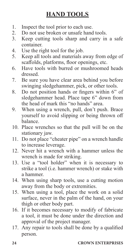## **HAND TOOLS**

- 1. Inspect the tool prior to each use.<br>2. Do not use broken or unsafe hand
- 2. Do not use broken or unsafe hand tools.<br>3. Keep cutting tools sharp and carry in
- Keep cutting tools sharp and carry in a safe container.
- 4. Use the right tool for the job.
- 5. Keep all tools and materials away from edge of scaffolds, platforms, floor openings, etc.
- 6. Have tools with burred or mushroomed heads dressed.
- 7. Be sure you have clear area behind you before swinging sledgehammer, pick, or other tools.
- 8. Do not position hands or fingers within 6" of sledgehammer head. Place tape 6" down from the head of mark this "no hands" area.
- 9. When using a wrench, pull, don't push. Brace yourself to avoid slipping or being thrown off balance.
- 10. Place wrenches so that the pull will be on the stationary jaw.
- 11. Do not place "cheater pipe" on a wrench handle to increase leverage.
- 12. Never hit a wrench with a hammer unless the wrench is made for striking.
- 13. Use a "tool holder" when it is necessary to strike a tool (i.e. hammer wrench) or stake with a hammer.
- 14. When using sharp tools, use a cutting motion away from the body or extremities.
- 15. When using a tool, place the work on a solid surface, never in the palm of the hand, on your thigh or other body part.
- 16. If it becomes necessary to modify of fabricate a tool, it must be done under the direction and approval of the project manager.
- 17. Any repair to tools shall be done by a qualified person.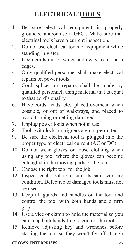## **ELECTRICAL TOOLS**

- 1. Be sure electrical equipment is properly grounded and/or use a GFCI. Make sure that electrical tools have a current inspection.
- 2. Do not use electrical tools or equipment while standing in water.
- 3. Keep cords out of water and away from sharp edges.
- 4. Only qualified personnel shall make electrical repairs on power tools.
- 5. Cord splices or repairs shall be made by qualified personnel, using material that is equal to that cord's quality.
- 6. Have cords, leads, etc., placed overhead when possible, or out of walkways, and placed to avoid tripping or getting damaged.
- 7. Unplug power tools when not in use.
- 8. Tools with lock-on triggers are not permitted.
- 9. Be sure the electrical tool is plugged into the proper type of electrical current (AC or DC)
- 10. Do not wear gloves or loose clothing when using any tool where the gloves can become entangled in the moving parts of the tool.
- 11. Choose the right tool for the job.
- 12. Inspect each tool to assure its safe working condition. Defective or damaged tools must not be used.
- 13. Keep all guards and handles on the tool and control the tool with both hands and a firm grip.
- 14. Use a vice or clamp to hold the material so you can keep both hands free to control the tool.
- 15. Remove adjusting key and wrenches before starting the tool so they won't fly off at high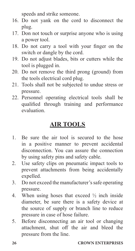speeds and strike someone.

- 16. Do not yank on the cord to disconnect the plug.
- 17. Don not touch or surprise anyone who is using a power tool.
- 18. Do not carry a tool with your finger on the switch or dangle by the cord.
- 19. Do not adjust blades, bits or cutters while the tool is plugged in.
- 20. Do not remove the third prong (ground) from the tools electrical cord plug.
- 21. Tools shall not be subjected to undue stress or pressure.
- 22. Personnel operating electrical tools shall be qualified through training and performance evaluation.

## **AIR TOOLS**

- 1. Be sure the air tool is secured to the hose in a positive manner to prevent accidental disconnection. You can assure the connection by using safety pins and safety cable.
- 2. Use safety clips on pneumatic impact tools to prevent attachments from being accidentally expelled.
- 3. Do not exceed the manufacturer's safe operating pressure.
- 4. When using hoses that exceed  $\frac{1}{2}$  inch inside diameter, be sure there is a safety device at the source of supply or branch line to reduce pressure in case of hose failure.
- 5. Before disconnecting an air tool or changing attachment, shut off the air and bleed the pressure from the line.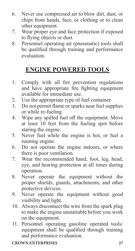- 6. Never use compressed air to blow dirt, dust, or chips from hands, face, or clothing or to clean other equipment.
- 7. Wear proper eye and face protection if exposed to flying objects or dust.
- 8. Personnel operating air (pneumatic) tools shall be qualified through training and performance evaluation.

# **ENGINE POWERED TOOLS**

- 1. Comply with all fire prevention regulations and have appropriate fire fighting equipment available for immediate use.
- 2. Use the appropriate type of fuel container.<br>3. Do not permit flame or sparks near fuel sure
- Do not permit flame or sparks near fuel supplies or while re-fueling.
- 4. Wipe any spilled fuel off the equipment. Move at least 10 feet from the fueling spot before staring the engine.
- 5. Never fuel while the engine is hot, or fuel a running engine.
- 6. Do not operate the engine indoors, or where there is poor ventilation.
- 7. Wear the recommended hand, foot, leg, head, eye, and hearing protection at all times during operation.
- 8. Never operate the equipment without the proper shields, guards, attachments, and other protective devices.
- 9. Never operate the equipment without good visibility and light.
- 10. Always disconnect the wire from the spark plug to make the engine unstartable before you work on the equipment.
- 11. Personnel operating gasoline operated tools/ equipment shall be qualified through training and performance evaluation.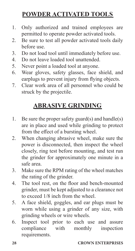## **POWDER ACTIVATED TOOLS**

- 1. Only authorized and trained employees are permitted to operate powder activated tools.
- 2. Be sure to test all powder activated tools daily before use.
- 3. Do not load tool until immediately before use.
- 4. Do not leave loaded tool unattended.
- 5. Never point a loaded tool at anyone.
- 6. Wear gloves, safety glasses, face shield, and earplugs to prevent injury from flying objects.
- 7. Clear work area of all personnel who could be struck by the projectile.

## **ABRASIVE GRINDING**

- 1. Be sure the proper safety guard(s) and handle(s) are in place and used while grinding to protect from the effect of a bursting wheel.
- 2. When changing abrasive wheel, make sure the power is disconnected, then inspect the wheel closely, ring test before mounting, and test run the grinder for approximately one minute in a safe area.
- 3. Make sure the RPM rating of the wheel matches the rating of the grinder.
- 4. The tool rest, on the floor and bench-mounted grinder, must be kept adjusted to a clearance not to exceed 1/8 inch from the wheel.
- 5. A face shield, goggles, and ear plugs must be worn while using a grinder of any size, with grinding wheels or wire wheels.
- 6. Inspect tool prior to each use and assure compliance with monthly inspection requirements.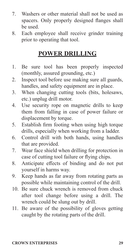- 7. Washers or other material shall not be used as spacers. Only properly designed flanges shall be used.
- 8. Each employee shall receive grinder training prior to operating that tool.

## **POWER DRILLING**

- 1. Be sure tool has been properly inspected (monthly, assured grounding, etc.)
- 2. Inspect tool before use making sure all guards, handles, and safety equipment are in place.
- 3. When changing cutting tools (bits, holesaws, etc.) unplug drill motor.
- 4. Use security rope on magnetic drills to keep them from falling in case of power failure or displacement by torque.
- 5. Establish firm footing when using high torque drills, especially when working from a ladder.
- 6. Control drill with both hands, using handles that are provided.
- 7. Wear face shield when drilling for protection in case of cutting tool failure or flying chips.
- 8. Anticipate effects of binding and do not put yourself in harms way.
- 9. Keep hands as far away from rotating parts as possible while maintaining control of the drill.
- 10. Be sure chuck wrench is removed from chuck after tool change before using a drill. The wrench could be slung out by drill.
- 11. Be aware of the possibility of gloves getting caught by the rotating parts of the drill.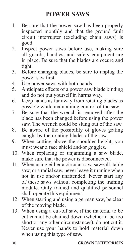## **POWER SAWS**

- 1. Be sure that the power saw has been properly inspected monthly and that the ground fault circuit interrupter (excluding chain saws) is good.
- 2. Inspect power saws before use, making sure all guards, handles, and safety equipment are in place. Be sure that the blades are secure and tight.
- 3. Before changing blades, be sure to unplug the power saw first.
- 4. Use power saws with both hands.
- 5. Anticipate effects of a power saw blade binding and do not put yourself in harms way.
- 6. Keep hands as far away from rotating blades as possible while maintaining control of the saw.
- 7. Be sure that the wrench is removed after the blade has been changed before using the power saw. The wrench could be slung out of the saw.
- 8. Be aware of the possibility of gloves getting caught by the rotating blades of the saw.
- 9. When cutting above the shoulder height, you must wear a face shield and/or goggles.
- 10. When replacing or unjamming a saw blade, make sure that the power is disconnected.
- 11. When using either a circular saw, sawzall, table saw, or a radial saw, never leave it running when not in use and/or unattended. Never start any of these saws without completing the training module. Only trained and qualified personnel shall operate this equipment.
- 12. When starting and using a german saw, be clear of the moving blade.
- 13. When using a cut-off saw, if the material to be cut cannot be chained down (whether it be too short or any other circumstances), do not cut it. Never use your hands to hold material down when using this type of saw.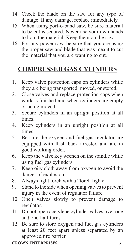- 14. Check the blade on the saw for any type of damage. If any damage, replace immediately.
- 15. When using port-o-band saw, be sure material to be cut is secured. Never use your own hands to hold the material. Keep them on the saw.
- 16. For any power saw, be sure that you are using the proper saw and blade that was meant to cut the material that you are wanting to cut.

# **COMPRESSED GAS CYLINDERS**

- 1. Keep valve protection caps on cylinders while they are being transported, moved, or stored.
- 2. Close valves and replace protection caps when work is finished and when cylinders are empty or being moved.
- 3. Secure cylinders in an upright position at all times.
- 4. Keep cylinders in an upright position at all times.
- 5. Be sure the oxygen and fuel gas regulator are equipped with flash back arrester, and are in good working order.
- 6. Keep the valve key wrench on the spindle while using fuel gas cylinders.
- 7. Keep oily cloth away from oxygen to avoid the danger of explosion.
- 8. Always light torch with a "torch lighter".
- 9. Stand to the side when opening valves to prevent injury in the event of regulator failure.
- 10. Open valves slowly to prevent damage to regulator.
- 11. Do not open acetylene cylinder valves over one and one-half turns.
- 12. Be sure to store oxygen and fuel gas cylinders at least 20 feet apart unless separated by an approved fire barrier.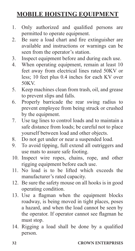## **MOBILE HOISTING EQUIPMENT**

- 1. Only authorized and qualified persons are permitted to operate equipment.
- 2. Be sure a load chart and fire extinguisher are available and instructions or warnings can be seen from the operator's station.
- 3. Inspect equipment before and during each use.
- 4. When operating equipment, remain at least 10 feet away from electrical lines rated 50KV or less; 10 feet plus 0.4 inches for each KV over 50KV.
- 5. Keep machines clean from trash, oil, and grease to prevent slips and falls.
- 6. Properly barricade the rear swing radius to prevent employee from being struck or crushed by the equipment.
- 7. Use tag lines to control loads and to maintain a safe distance from loads; be careful not to place yourself between load and other objects.
- 8. Do not get under or near a suspended load.
- 9. To avoid tipping, full extend all outriggers and use mats to assure safe footing.
- 10. Inspect wire ropes, chains, rope, and other rigging equipment before each use.
- 11. No load is to be lifted which exceeds the manufacturer's rated capacity.
- 12. Be sure the safety mouse on all hooks is in good operating condition.
- 13. Use a flagman when the equipment blocks roadway, is being moved in tight places, poses a hazard, and when the load cannot be seen by the operator. If operator cannot see flagman he must stop.
- 14. Rigging a load shall be done by a qualified person.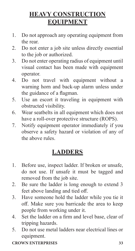## **HEAVY CONSTRUCTION EQUIPMENT**

- 1. Do not approach any operating equipment from the rear.
- 2. Do not enter a job site unless directly essential to the job or authorized.
- 3. Do not enter operating radius of equipment until visual contact has been made with equipment operator.
- 4. Do not travel with equipment without a warning horn and back-up alarm unless under the guidance of a flagman.
- 5. Use an escort it traveling in equipment with obstructed visibility.
- 6. Wear seatbelts in all equipment which does not have a roll-over protective structure (ROPS).
- 7. Notify equipment operator immediately if you observe a safety hazard or violation of any of the above rules.

## **LADDERS**

- 1. Before use, inspect ladder. If broken or unsafe, do not use. If unsafe it must be tagged and removed from the job site.
- 2. Be sure the ladder is long enough to extend 3 feet above landing and tied off.
- 3. Have someone hold the ladder while you tie it off. Make sure you barricade the area to keep people from working under it.
- 4. Set the ladder on a firm and level base, clear of tripping hazards.
- 5. Do not use metal ladders near electrical lines or equipment.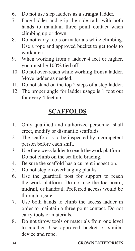- 6. Do not use step ladders as a straight ladder.
- 7. Face ladder and grip the side rails with both hands to maintain three point contact when climbing up or down.
- 8. Do not carry tools or materials while climbing. Use a rope and approved bucket to get tools to work area.
- 9. When working from a ladder 4 feet or higher, you must be 100% tied off.
- 10. Do not over-reach while working from a ladder. Move ladder as needed.
- 11. Do not stand on the top 2 steps of a step ladder.
- 12. The proper angle for ladder usage is 1 foot out for every 4 feet up.

# **SCAFFOLDS**

- 1. Only qualified and authorized personnel shall erect, modify or dismantle scaffolds.
- 2. The scaffold is to be inspected by a competent person before each shift.
- 3. Use the access ladder to reach the work platform. Do not climb on the scaffold bracing.
- 4. Be sure the scaffold has a current inspection.
- 5. Do not step on overhanging planks.
- 6. Use the guardrail post for support to reach the work platform. Do not use the toe board, midrail, or handrail. Preferred access would be through a gate.
- 7. Use both hands to climb the access ladder in order to maintain a three point contact. Do not carry tools or materials.
- 8. Do not throw tools or materials from one level to another. Use approved bucket or similar device and rope.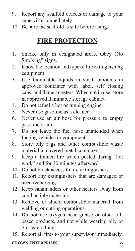- 9. Report any scaffold defects or damage to your supervisor immediately.
- 10. Be sure the scaffold is safe before using.

# **FIRE PROTECTION**

- 1. Smoke only in designated areas. Obey (No Smoking" signs.
- 2. Know the location and type of fire extinguishing equipment.
- 3. Use flammable liquids in small amounts in approved container with label, self closing caps, and flame arresters. When not in use, store in approved flammable storage cabinet.
- 4. Do not refuel a hot or running engine.
- 5. Never use gasoline as a cleaner.
- 6. Never use an air hose for pressure to empty gasoline drum.
- 7. Do not leave the fuel hose unattended when fueling vehicles or equipment.
- 8. Store oily rags and other combustible waste material in covered metal containers.
- 9. Keep a trained fire watch posted during "hot work" and for 30 minutes afterward.
- 10. Do not block access to fire extinguishers.
- 11. Report any extinguishers that are damaged or need recharging.
- 12. Keep salamanders or other heaters away from combustible materials.
- 13. Remove or shield combustible material from welding or cutting operations.
- 14. Do not use oxygen near grease or other oilbased products, and not while wearing oily or greasy clothing.
- 15. Report all fires to your supervisor immediately.

# **CROWN ENTERPRISES 35**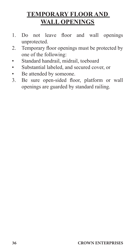# **TEMPORARY FLOOR AND WALL OPENINGS**

- 1. Do not leave floor and wall openings unprotected.
- 2. Temporary floor openings must be protected by one of the following:
- Standard handrail, midrail, toeboard
- Substantial labeled, and secured cover, or
- Be attended by someone.
- 3. Be sure open-sided floor, platform or wall openings are guarded by standard railing.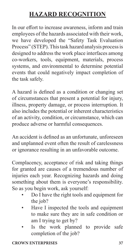# **HAZARD RECOGNITION**

In our effort to increase awareness, inform and train employees of the hazards associated with their work, we have developed the "Safety Task Evaluation Process" (STEP). This task hazard analysis process is designed to address the work place interfaces among co-workers, tools, equipment, materials, process systems, and environmental to determine potential events that could negatively impact completion of the task safely.

A hazard is defined as a condition or changing set of circumstances that present a potential for injury, illness, property damage, or process interruption. It also includes the potential or inherent characteristics of an activity, condition, or circumstance, which can produce adverse or harmful consequences.

An accident is defined as an unfortunate, unforeseen and unplanned event often the result of carelessness or ignorance resulting in an unfavorable outcome.

Complacency, acceptance of risk and taking things for granted are causes of a tremendous number of injuries each year. Recognizing hazards and doing something about them is everyone's responsibility. So as you begin work, ask yourself:

- Do I have the right tools and equipment for the job?
- Have I inspected the tools and equipment to make sure they are in safe condition or am I trying to get by?
- Is the work planned to provide safe completion of the job?

# **CROWN ENTERPRISES 37**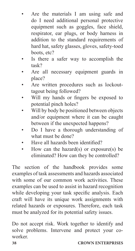- Are the materials I am using safe and do I need additional personal protective equipment such as goggles, face shield, respirator, ear plugs, or body harness in addition to the standard requirements of hard hat, safety glasses, gloves, safety-toed boots, etc?
- Is there a safer way to accomplish the task?
- Are all necessary equipment guards in place?
- Are written procedures such as lockouttagout being followed?
- Will my hands or fingers be exposed to potential pinch holes?
- Will by body be positioned between objects and/or equipment where it can be caught between if the unexpected happens?
- Do I have a thorough understanding of what must be done?
- Have all hazards been identified?
- How can the hazard(s) or exposure(s) be eliminated? How can they be controlled?

The section of the handbook provides some examples of task assessments and hazards associated with some of our common work activities. These examples can be used to assist in hazard recognition while developing your task specific analysis. Each craft will have its unique work assignments with related hazards or exposures. Therefore, each task must be analyzed for its potential safety issues.

Do not accept risk. Work together to identify and solve problems. Intervene and protect your coworker.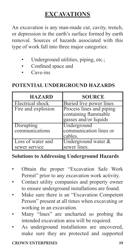# **EXCAVATIONS**

An excavation is any man-made cut, cavity, trench, or depression in the earth's surface formed by earth removal. Sources of hazards associated with this type of work fall into three major categories:

- Underground utilities, piping, etc.;
- Confined space and
- Cave-ins

# **POTENTIAL UNDERGROUND HAZARDS**

| <b>HAZARD</b>                      | <b>SOURCE</b>                                                             |
|------------------------------------|---------------------------------------------------------------------------|
| Electrical shock                   | Buried live power lines                                                   |
| Fire and explosion                 | Process lines and piping<br>containing flammable<br>gasses and/or liquids |
| Disrupting<br>communications       | Underground<br>communication lines or<br>cables.                          |
| Loss of water and<br>sewer service | Underground water &<br>sewer lines.                                       |

# **Solutions to Addressing Underground Hazards**

- Obtain the proper "Excavation Safe Work Permit" prior to any excavation work activity.
- Contact utility companies and property owner to ensure underground installations are found.
- Make sure there is an "Excavation Competent Person" present at all times when excavating or working in an excavation.
- Many "lines" are uncharted so probing the intended excavation area will be required.
- As underground installations are uncovered, make sure they are protected and supported

# **CROWN ENTERPRISES 39**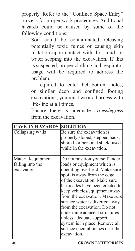properly. Refer to the "Confined Space Entry" process for proper work procedures. Additional hazards could be caused by some of the following conditions:

- Soil could be contaminated releasing potentially toxic fumes or causing skin irritation upon contact with dirt, mud, or water seeping into the excavation. If this is suspected, proper clothing and respirator usage will be required to address the problem.
- If required to enter bell-bottom holes, or similar deep and confined footing excavations, you must wear a harness with life-line at all times.
- Ensure there is adequate access/egress from the excavation.

| <b>CAVE-IN HAZARDS</b>                               | <b>SOLUTION</b>                                                                                                                                                                                                                                                                                                                                                                                                                                                                   |
|------------------------------------------------------|-----------------------------------------------------------------------------------------------------------------------------------------------------------------------------------------------------------------------------------------------------------------------------------------------------------------------------------------------------------------------------------------------------------------------------------------------------------------------------------|
| Collapsing walls                                     | Be sure the excavation is<br>properly sloped, stepped back,<br>shored, or personal shield used<br>while in the excavation.                                                                                                                                                                                                                                                                                                                                                        |
| Material/equipment<br>falling into the<br>excavation | Do not position yourself under<br>loads or equipment which is<br>operating overhead. Make sure<br>spoil is away from the edge<br>of the excavation. Make sure<br>barricades have been erected to<br>keep vehicles/equipment away<br>from the excavation. Make sure<br>surface water is diverted away<br>from the excavation. Do not<br>undermine adjacent structures<br>unless adequate support<br>system is in place. Remove all<br>surface encumbrances near the<br>excavation. |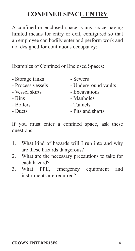# **CONFINED SPACE ENTRY**

A confined or enclosed space is any space having limited means for entry or exit, configured so that an employee can bodily enter and perform work and not designed for continuous occupancy:

Examples of Confined or Enclosed Spaces:

| - Storage tanks   | - Sewers             |
|-------------------|----------------------|
| - Process vessels | - Underground vaults |
| - Vessel skirts   | - Excavations        |
| - Bins            | - Manholes           |
| - Boilers         | - Tunnels            |
| - Ducts           | - Pits and shafts    |
|                   |                      |

If you must enter a confined space, ask these questions:

- 1. What kind of hazards will I run into and why are these hazards dangerous?
- 2. What are the necessary precautions to take for each hazard?
- 3. What PPE, emergency equipment and instruments are required?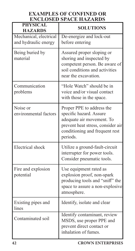# **EXAMPLES OF CONFINED OR ENCLOSED SPACE HAZARDS**

| <b>PHYSICAL</b><br><b>HAZARDS</b>              | <b>SOLUTIONS</b>                                                                                                                                                     |
|------------------------------------------------|----------------------------------------------------------------------------------------------------------------------------------------------------------------------|
| Mechanical, electrical<br>and hydraulic energy | De-energize and lock-out<br>before entering                                                                                                                          |
| Being buried by<br>material                    | Assured proper sloping or<br>shoring and inspected by<br>competent person. Be aware of<br>soil conditions and activities<br>near the excavation.                     |
| Communication<br>problems                      | "Hole Watch" should be in<br>voice and/or visual contact<br>with those in the space.                                                                                 |
| Noise or<br>environmental factors              | Proper PPE to address the<br>specific hazard. Assure<br>adequate air movement. To<br>prevent heat stress, consider air<br>conditioning and frequent rest<br>periods. |
| Electrical shock                               | Utilize a ground-fault-circuit<br>interrupter for power tools.<br>Consider pneumatic tools.                                                                          |
| Fire and explosion<br>potential                | Use equipment rated as<br>explosion proof, non-spark<br>producing tools and "sniff" the<br>space to assure a non-explosive<br>atmosphere.                            |
| Existing pipes and<br>lines                    | Identify, isolate and clear                                                                                                                                          |
| Contaminated soil                              | Identify contaminant, review<br>MSDS, use proper PPE and<br>prevent direct contact or<br>inhalation of fumes.                                                        |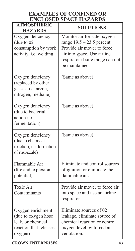# **EXAMPLES OF CONFINED OR ENCLOSED SPACE HAZARDS**

| <b>ATMOSPHERIC</b><br><b>HAZARDS</b>                                                               | <b>SOLUTIONS</b>                                                                                                                                                              |
|----------------------------------------------------------------------------------------------------|-------------------------------------------------------------------------------------------------------------------------------------------------------------------------------|
| Oxygen deficiency<br>(due to 02<br>consumption by work<br>activity, i.e. welding                   | Monitor air for safe oxygen<br>range $19.5 - 23.5$ percent<br>Provide air mover to force<br>air into space. Use airline<br>respirator if safe range can not<br>be maintained. |
| Oxygen deficiency<br>(replaced by other<br>gasses, i.e. argon,<br>nitrogen, methane)               | (Same as above)                                                                                                                                                               |
| Oxygen deficiency<br>(due to bacterial<br>action <i>i.e.</i><br>fermentation)                      | (Same as above)                                                                                                                                                               |
| Oxygen deficiency<br>(due to chemical<br>reaction, i.e. formation<br>of rust/scale)                | (Same as above)                                                                                                                                                               |
| Flammable Air<br>(fire and explosion<br>potential)                                                 | Eliminate and control sources<br>of ignition or eliminate the<br>flammable air.                                                                                               |
| Toxic Air<br>Contaminants                                                                          | Provide air mover to force air<br>into space and use an airline<br>respirator.                                                                                                |
| Oxygen enrichment<br>(due to oxygen hose<br>leak, or chemical<br>reaction that releases<br>oxygen) | Eliminate sources of 02<br>leakage, eliminate source of<br>chemical reaction or control<br>oxygen level by forced air<br>ventilation.                                         |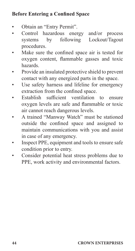# **Before Entering a Confined Space**

- Obtain an "Entry Permit".
- Control hazardous energy and/or process systems by following Lockout/Tagout procedures.
- Make sure the confined space air is tested for oxygen content, flammable gasses and toxic hazards.
- Provide an insulated protective shield to prevent contact with any energized parts in the space.
- Use safety harness and lifeline for emergency extraction from the confined space.
- Establish sufficient ventilation to ensure oxygen levels are safe and flammable or toxic air cannot reach dangerous levels.
- A trained "Manway Watch" must be stationed outside the confined space and assigned to maintain communications with you and assist in case of any emergency.
- Inspect PPE, equipment and tools to ensure safe condition prior to entry.
- Consider potential heat stress problems due to PPE, work activity and environmental factors.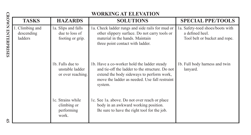|                          |                                          |                                                           | WORKING AT ELEVATION                                                                                                                                                                                    |                                                                                      |
|--------------------------|------------------------------------------|-----------------------------------------------------------|---------------------------------------------------------------------------------------------------------------------------------------------------------------------------------------------------------|--------------------------------------------------------------------------------------|
|                          | <b>TASKS</b>                             | <b>HAZARDS</b>                                            | <b>SOLUTIONS</b>                                                                                                                                                                                        | <b>SPECIAL PPE/TOOLS</b>                                                             |
| <b>CROWN ENTERPRISES</b> | 1. Climbing and<br>descending<br>ladders | 1a. Slips and falls<br>due to loss of<br>footing or grip. | 1a. Check ladder rungs and side rails for mud or<br>other slippery surface. Do not carry tools or<br>material in the hands. Maintain<br>three point contact with ladder.                                | 1a. Safety-toed shoes/boots with<br>a defined heel.<br>Tool belt or bucket and rope. |
|                          |                                          | 1b. Falls due to<br>unstable ladder<br>or over reaching.  | 1b. Have a co-worker hold the ladder steady<br>and tie-off the ladder to the structure. Do not<br>extend the body sideways to perform work,<br>move the ladder as needed. Use fall restraint<br>system. | 1b. Full body harness and twin<br>lanyard.                                           |
| £                        |                                          | 1c. Strains while<br>climbing or<br>performing<br>work.   | 1c. See 1a. above. Do not over reach or place<br>body in an awkward working position.<br>Be sure to have the right tool for the job.                                                                    |                                                                                      |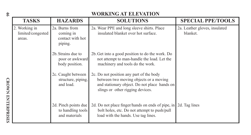| \$                       |                                              |                                                            | WORKING AT ELEVATION                                                                                                                                                   |                                           |
|--------------------------|----------------------------------------------|------------------------------------------------------------|------------------------------------------------------------------------------------------------------------------------------------------------------------------------|-------------------------------------------|
|                          | <b>TASKS</b>                                 | <b>HAZARDS</b>                                             | <b>SOLUTIONS</b>                                                                                                                                                       | <b>SPECIAL PPE/TOOLS</b>                  |
|                          | 2. Working in<br>limited/congested<br>areas. | 2a. Burns from<br>coming in<br>contact with hot<br>piping. | 2a. Wear PPE and long sleeve shirts. Place<br>insulated blanket over hot surface.                                                                                      | 2a. Leather gloves, insulated<br>blanket. |
|                          |                                              | 2b. Strains due to<br>poor or awkward<br>body position.    | 2b. Get into a good position to do the work. Do<br>not attempt to man-handle the load. Let the<br>machinery and tools do the work.                                     |                                           |
|                          |                                              | 2c. Caught between<br>structure, piping,<br>and load.      | 2c. Do not position any part of the body<br>between two moving objects or a moving<br>and stationary object. Do not place hands on<br>slings or other rigging devices. |                                           |
| <b>CROWN ENTERPRISES</b> |                                              | 2d. Pinch points due<br>to handling tools<br>and materials | 2d. Do not place finger/hands on ends of pipe, in<br>bolt holes, etc. Do not attempt to push/pull<br>load with the hands. Use tag lines.                               | 2d. Tag lines                             |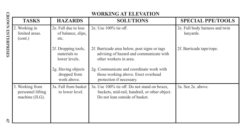|                          |                                                        |                                                      | <b>WORKING AT ELEVATION</b>                                                                                                     |                                             |
|--------------------------|--------------------------------------------------------|------------------------------------------------------|---------------------------------------------------------------------------------------------------------------------------------|---------------------------------------------|
|                          | <b>TASKS</b>                                           | <b>HAZARDS</b>                                       | <b>SOLUTIONS</b>                                                                                                                | <b>SPECIAL PPE/TOOLS</b>                    |
| <b>CROWN ENTERPRISES</b> | 2. Working in<br>limited areas.<br>(cont.)             | 2e. Fall due to loss<br>of balance, slips,<br>etc.   | 2e. Use 100% tie off.                                                                                                           | 2e. Full body harness and twin<br>lanyards. |
|                          |                                                        | 2f. Dropping tools,<br>materials to<br>lower levels. | 2f. Barricade area below, post signs or tags<br>advising of hazard and communicate with<br>other workers in area.               | 2f. Barricade tape/rope.                    |
|                          |                                                        | 2g. Having objects<br>dropped from<br>work above.    | 2g. Communicate and coordinate work with<br>those working above. Erect overhead<br>protection if necessary.                     |                                             |
|                          | 3. Working from<br>personnel lifting<br>machine (JLG). | 3a. Fall from basket<br>to lower level.              | 3a. Use 100% tie off. Do not stand on boxes,<br>buckets, mid-rail, handrail, or other object.<br>Do not lean outside of basket. | 3a. See 2e. above.                          |
| 47                       |                                                        |                                                      |                                                                                                                                 |                                             |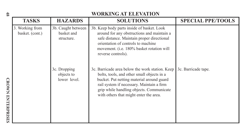# **EXECTS BY-SEXUAL SURVER AT ELLEVATION**<br>
3. Working from 3b. Caught between 3b. Keep body parts inside of basket. Look<br>
basket. (cont.) basket and structure.<br>
state and structure.<br>
state distance. Maintain proper direction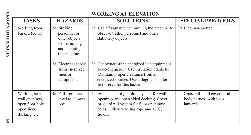|                          |                                                                                       |                                                                                                | <b>WORKING AT ELEVATION</b>                                                                                                                                                                                   |                                                                          |
|--------------------------|---------------------------------------------------------------------------------------|------------------------------------------------------------------------------------------------|---------------------------------------------------------------------------------------------------------------------------------------------------------------------------------------------------------------|--------------------------------------------------------------------------|
|                          | <b>TASKS</b>                                                                          | <b>HAZARDS</b>                                                                                 | <b>SOLUTIONS</b>                                                                                                                                                                                              | <b>SPECIAL PPE/TOOLS</b>                                                 |
| <b>CROWN ENTERPRISES</b> | 3. Working from<br>basket. (cont.)                                                    | 3d. Striking<br>personnel or<br>other objects<br>while moving<br>and operating<br>the machine. | 3d. Use a flagman when moving the machine to<br>observe traffic, personnel and other<br>stationary objects.                                                                                                   | 3d. Flagman/spotter.                                                     |
|                          |                                                                                       | 3e. Electrical shock<br>from energized<br>lines or<br>equipment.                               | 3e. Get owner of the energized line/equipment<br>to de-energize it. Use insulation blankets.<br>Maintain proper clearance from all<br>energized sources. Use a flagman/spotter<br>to observe for this hazard. |                                                                          |
|                          | 4. Working near<br>wall openings,<br>open floor holes,<br>open sided<br>decking, etc. | 4a. Fall from one<br>level to a lower<br>one.                                                  | 4a. Erect standard guardrail system for wall<br>openings and open sided decking. Cover<br>or guard rail system for floor openings/<br>holes. Utilize warning rope and 100%<br>tie off.                        | 4a. Guardrail, hold cover, a full<br>body harness with twin<br>lanyards. |
| 6 <sup>b</sup>           |                                                                                       |                                                                                                |                                                                                                                                                                                                               |                                                                          |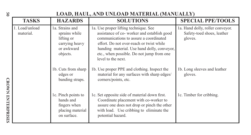| 9S                 | LOAD, HAUL, AND UNLOAD MATERIAL (MANUALLY) |                                                                                            |                                                                                                                                                                                                                                                                                             |                                                                           |
|--------------------|--------------------------------------------|--------------------------------------------------------------------------------------------|---------------------------------------------------------------------------------------------------------------------------------------------------------------------------------------------------------------------------------------------------------------------------------------------|---------------------------------------------------------------------------|
|                    | TASKS                                      | <b>HAZARDS</b>                                                                             | <b>SOLUTIONS</b>                                                                                                                                                                                                                                                                            | <b>SPECIAL PPE/TOOLS</b>                                                  |
|                    | 1. Load/unload<br>material.                | 1a. Strains and<br>sprains while<br>lifting or<br>carrying heavy<br>or awkward<br>objects. | 1a. Use proper lifting technique. See<br>assistance of co-worker and establish good<br>communications to assure a coordinated<br>effort. Do not over-reach or twist while<br>handing material. Use hand dolly, conveyor,<br>etc., when possible. Do not jump from one<br>level to the next. | 1a. Hand dolly, roller conveyor.<br>Safety-toed shoes, leather<br>gloves. |
| <b>CROWN</b>       |                                            | 1b. Cuts from sharp<br>edges or<br>banding straps.                                         | 1b. Use proper PPE and clothing. Inspect the<br>material for any surfaces with sharp edges/<br>corners/points, etc.                                                                                                                                                                         | 1b. Long sleeves and leather<br>gloves.                                   |
| <b>ENTERPRISES</b> |                                            | 1c. Pinch points to<br>hands and<br>fingers when<br>placing material<br>on surface.        | 1c. Set opposite side of material down first.<br>Coordinate placement with co-worker to<br>assure one does not drop or pinch the other<br>with load. Use cribbing to eliminate the<br>potential hazard.                                                                                     | 1c. Timber for cribbing.                                                  |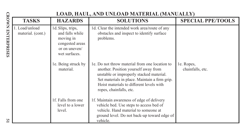|                          |                                     |                                                                                                        | LOAD, HAUL, AND UNLOAD MATERIAL (MANUALLY)                                                                                                                                                                                                                 |                                |
|--------------------------|-------------------------------------|--------------------------------------------------------------------------------------------------------|------------------------------------------------------------------------------------------------------------------------------------------------------------------------------------------------------------------------------------------------------------|--------------------------------|
|                          | <b>TASKS</b>                        | <b>HAZARDS</b>                                                                                         | <b>SOLUTIONS</b>                                                                                                                                                                                                                                           | <b>SPECIAL PPE/TOOLS</b>       |
| <b>CROWN ENTERPRISES</b> | 1. Load/unload<br>material. (cont.) | 1d. Slips, trips,<br>and falls while<br>moving in<br>congested areas<br>or on uneven/<br>wet surfaces. | 1d. Clear the intended work area/route of any<br>obstacles and inspect to identify surface<br>problems.                                                                                                                                                    |                                |
|                          |                                     | 1e. Being struck by<br>material.                                                                       | 1e. Do not throw material from one location to<br>another. Position yourself away from<br>unstable or improperly stacked material.<br>Set materials in place. Maintain a firm grip.<br>Hoist materials to different levels with<br>ropes, chainfalls, etc. | le. Ropes,<br>chainfalls, etc. |
| <b>u</b>                 |                                     | 1f. Falls from one<br>level to a lower<br>level.                                                       | 1f. Maintain awareness of edge of delivery<br>vehicle bed. Use steps to access bed of<br>vehicle. Hand material to someone at<br>ground level. Do not back-up toward edge of<br>vehicle.                                                                   |                                |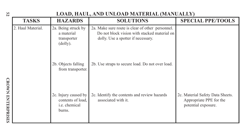| 52                       | LOAD, HAUL, AND UNLOAD MATERIAL (MANUALLY) |                                                                             |                                                                                                                                        |                                                                                    |
|--------------------------|--------------------------------------------|-----------------------------------------------------------------------------|----------------------------------------------------------------------------------------------------------------------------------------|------------------------------------------------------------------------------------|
|                          | <b>TASKS</b>                               | <b>HAZARDS</b>                                                              | <b>SOLUTIONS</b>                                                                                                                       | <b>SPECIAL PPE/TOOLS</b>                                                           |
|                          | 2. Haul Material.                          | 2a. Being struck by<br>a material<br>transporter<br>(dolly).                | 2a. Make sure route is clear of other personnel.<br>Do not block vision with stacked material on<br>dolly. Use a spotter if necessary. |                                                                                    |
|                          |                                            | 2b. Objects falling<br>from transporter.                                    | 2b. Use straps to secure load. Do not over load.                                                                                       |                                                                                    |
| <b>CROWN ENTERPRISES</b> |                                            | 2c. Injury caused by<br>contents of load,<br><i>i.e.</i> chemical<br>burns. | 2c. Identify the contents and review hazards<br>associated with it.                                                                    | 2c. Material Safety Data Sheets.<br>Appropriate PPE for the<br>potential exposure. |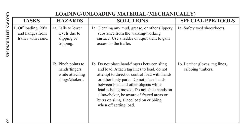|                          |                                                                 |                                                                            | LOADING/UNLOADING MATERIAL (MECHANICALLY)                                                                                                                                                                                                                                                                                                                                                   |                                                     |
|--------------------------|-----------------------------------------------------------------|----------------------------------------------------------------------------|---------------------------------------------------------------------------------------------------------------------------------------------------------------------------------------------------------------------------------------------------------------------------------------------------------------------------------------------------------------------------------------------|-----------------------------------------------------|
|                          | <b>TASKS</b>                                                    | <b>HAZARDS</b>                                                             | <b>SOLUTIONS</b>                                                                                                                                                                                                                                                                                                                                                                            | <b>SPECIAL PPE/TOOLS</b>                            |
| <b>CROWN ENTERPRISES</b> | 1. Off loading, 90's<br>and flanges from<br>trailer with crane. | 1a. Falls to lower<br>levels due to<br>slipping or<br>tripping.            | la. Cleaning any mud, grease, or other slippery<br>substance from the walking/working<br>surface. Use a ladder or equivalent to gain<br>access to the trailer.                                                                                                                                                                                                                              | 1a. Safety toed shoes/boots.                        |
|                          |                                                                 | 1b. Pinch points to<br>hands/fingers<br>while attaching<br>slings/chokers. | 1b. Do not place hand/fingers between sling<br>and load. Attach tag lines to load, do not<br>attempt to direct or control load with hands<br>or other body parts. Do not place hands<br>between load and other objects while<br>load is being moved. Do not slide hands on<br>sling/choker, be aware of frayed areas or<br>burrs on sling. Place load on cribbing<br>when off setting load. | 1b. Leather gloves, tag lines,<br>cribbing timbers. |
| <b>u</b>                 |                                                                 |                                                                            |                                                                                                                                                                                                                                                                                                                                                                                             |                                                     |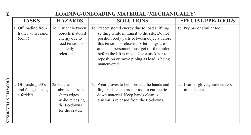| 54                       |                                                         |                                                                                                      | LOADING/UNLOADING MATERIAL (MECHANICALLY)                                                                                                                                                                                                                                                                                                               |                                                    |
|--------------------------|---------------------------------------------------------|------------------------------------------------------------------------------------------------------|---------------------------------------------------------------------------------------------------------------------------------------------------------------------------------------------------------------------------------------------------------------------------------------------------------------------------------------------------------|----------------------------------------------------|
|                          | <b>TASKS</b>                                            | <b>HAZARDS</b>                                                                                       | <b>SOLUTIONS</b>                                                                                                                                                                                                                                                                                                                                        | <b>SPECIAL PPE/TOOLS</b>                           |
|                          | 1. Off loading from<br>trailer with crane.<br>(cont.)   | 1c. Caught between<br>objects if stored<br>energy due to<br>load tension is<br>suddenly<br>released. | 1c. Expect stored energy due to load shifting/<br>settling while in transit to the site. Do not<br>position body parts between objects before<br>this tension is released. After slings are<br>attached, personnel must get off the trailer<br>before the lift is made. Use a stick/bar to<br>reposition or move piping as load is being<br>maneuvered. | 1c. Pry bar or similar tool                        |
| <b>CROWN ENTERPRISES</b> | 2. Off loading 90's<br>and flanges using<br>a forklift. | 2a. Cuts and<br>abrasions from<br>sharp edges<br>while releasing<br>the tie-downs<br>for the crates. | 2a. Wear gloves to help protect the hands and<br>fingers. Use the proper tool to cut the tie-<br>down material. Keep hands clear as<br>tension is released from the tie-downs.                                                                                                                                                                          | 2a. Leather gloves, side cutters,<br>nippers, etc. |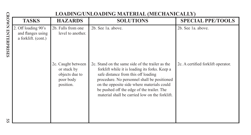|                          |                                                                 |                                                                               | LOADING/UNLOADING MATERIAL (MECHANICALLY)                                                                                                                                                                                                                                                                                              |                                    |
|--------------------------|-----------------------------------------------------------------|-------------------------------------------------------------------------------|----------------------------------------------------------------------------------------------------------------------------------------------------------------------------------------------------------------------------------------------------------------------------------------------------------------------------------------|------------------------------------|
|                          | <b>TASKS</b>                                                    | <b>HAZARDS</b>                                                                | <b>SOLUTIONS</b>                                                                                                                                                                                                                                                                                                                       | <b>SPECIAL PPE/TOOLS</b>           |
| <b>CROWN ENTERPRISES</b> | 2. Off loading 90's<br>and flanges using<br>a forklift. (cont.) | 2b. Falls from one<br>level to another.                                       | 2b. See 1a. above.                                                                                                                                                                                                                                                                                                                     | 2b. See 1a. above.                 |
|                          |                                                                 | 2c. Caught between<br>or stuck by<br>objects due to<br>poor body<br>position. | 2c. Stand on the same side of the trailer as the<br>forklift while it is loading its forks. Keep a<br>safe distance from this off loading<br>procedure. No personnel shall be positioned<br>on the opposite side where materials could<br>be pushed off the edge of the trailer. The<br>material shall be carried low on the forklift. | 2c. A certified forklift operator. |
| <b>u</b><br>ûï           |                                                                 |                                                                               |                                                                                                                                                                                                                                                                                                                                        |                                    |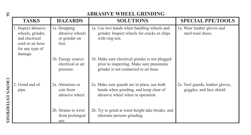| 99                       |                                                                                                             |                                                           | <b>ABRASIVE WHEEL GRINDING</b>                                                                                                       |                                                               |
|--------------------------|-------------------------------------------------------------------------------------------------------------|-----------------------------------------------------------|--------------------------------------------------------------------------------------------------------------------------------------|---------------------------------------------------------------|
|                          | <b>TASKS</b>                                                                                                | <b>HAZARDS</b>                                            | <b>SOLUTIONS</b>                                                                                                                     | <b>SPECIAL PPE/TOOLS</b>                                      |
|                          | 1. Inspect abrasive<br>wheels, grinder,<br>and electrical<br>cord or air hose<br>for any type of<br>damage. | 1a. Dropping<br>abrasive wheels<br>or grinder on<br>feet. | 1a. Use two hands when handling wheels and<br>grinder. Inspect wheels for cracks or chips<br>with ring test.                         | 1a. Wear leather gloves and<br>steel-toed shoes.              |
|                          |                                                                                                             | 1b. Energy source-<br>electrical or air<br>pressure.      | 1b. Make sure electrical grinder is not plugged<br>prior to inspecting. Make sure pneumatic<br>grinder is not connected to air hose. |                                                               |
| <b>CROWN ENTERPRISES</b> | 2. Grind end of<br>pipe.                                                                                    | 2a. Abrasions or<br>cuts from<br>abrasive wheel.          | 2a. Make sure guards are in place, use both<br>hands when grinding, and keep clear of<br>abrasive wheel when in operation.           | 2a. Tool guards, leather gloves,<br>goggles, and face shield. |
|                          |                                                                                                             | 2b. Strains to wrist<br>from prolonged<br>use.            | 2b. Try to grind at waist height take breaks, and<br>alternate persons grinding.                                                     |                                                               |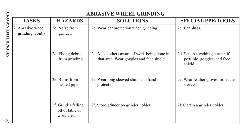|                          |                                       |                                                      | <b>ABRASIVE WHEEL GRINDING</b>                                                          |                                                                           |
|--------------------------|---------------------------------------|------------------------------------------------------|-----------------------------------------------------------------------------------------|---------------------------------------------------------------------------|
|                          | <b>TASKS</b>                          | <b>HAZARDS</b>                                       | <b>SOLUTIONS</b>                                                                        | <b>SPECIAL PPE/TOOLS</b>                                                  |
| <b>CROWN ENTERPRISES</b> | 2. Abrasive wheel<br>grinding (cont.) | 2c. Noise from<br>grinder.                           | 2c. Wear ear protection when grinding.                                                  | 2c. Ear plugs.                                                            |
|                          |                                       | 2d. Flying debris<br>from grinding.                  | 2d. Make others aware of work being done in<br>that area. Wear goggles and face shield. | 2d. Set up a welding curtain if<br>possible, goggles, and face<br>shield. |
|                          |                                       | 2e. Burns from<br>heated pipe.                       | 2e. Wear long sleeved shirts and hand<br>protection.                                    | 2e. Wear leather gloves, or leather<br>sleeves.                           |
| ي<br>ا                   |                                       | 2f. Grinder falling<br>off of table or<br>work area. | 2f. Store grinder on grinder holder.                                                    | 2f. Obtain a grinder holder.                                              |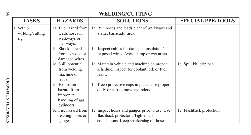| $^{95}$                  |                                      |                                                                           | WELDING/CUTTING                                                                                                                 |                           |
|--------------------------|--------------------------------------|---------------------------------------------------------------------------|---------------------------------------------------------------------------------------------------------------------------------|---------------------------|
|                          | <b>TASKS</b>                         | <b>HAZARDS</b>                                                            | <b>SOLUTIONS</b>                                                                                                                | <b>SPECIAL PPE/TOOLS</b>  |
|                          | 1. Set up<br>welding/cutting<br>rig. | 1a. Trip hazard from<br>leads/hoses in<br>walkways or<br>stairways.       | 1a. Run hoses and leads clear of walkways and<br>stairs, barricade area.                                                        |                           |
|                          |                                      | 1b. Shock hazard<br>from exposed or<br>damaged wires.                     | 1b. Inspect cables for damaged insulation/<br>exposed wires. Avoid damp or wet areas.                                           |                           |
|                          |                                      | 1c. Spill potential<br>from welding<br>machine or<br>truck.               | 1c. Maintain vehicle and machine on proper<br>schedule, inspect for coolant, oil, or fuel<br>leaks.                             | 1c. Spill kit, drip pan.  |
| <b>CROWN ENTERPRISES</b> |                                      | 1d. Explosion<br>hazard from<br>improper<br>handling of gas<br>cylinders. | 1d. Keep protective caps in place. Use proper<br>dolly or cart to move cylinders.                                               |                           |
|                          |                                      | 1e. Fire hazard from<br>leaking hoses or<br>gauges.                       | 1e. Inspect hoses and gauges prior to use. Use<br>flashback protectors. Tighten all<br>connections. Keep sparks/slag off hoses. | 1e. Flashback protection. |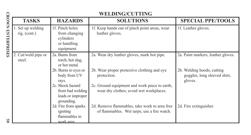|                          |                                   |                                                                                                                                              | <b>WELDING/CUTTING</b>                                                                                                                                                                                |                                                                                                             |
|--------------------------|-----------------------------------|----------------------------------------------------------------------------------------------------------------------------------------------|-------------------------------------------------------------------------------------------------------------------------------------------------------------------------------------------------------|-------------------------------------------------------------------------------------------------------------|
|                          | <b>TASKS</b>                      | <b>HAZARDS</b>                                                                                                                               | <b>SOLUTIONS</b>                                                                                                                                                                                      | <b>SPECIAL PPE/TOOLS</b>                                                                                    |
| <b>CROWN ENTERPRISES</b> | 1. Set up welding<br>rig. (cont.) | 1f. Pinch holes<br>from changing<br>cylinders<br>or handling<br>equipment.                                                                   | 1f. Keep hands out of pinch point areas, wear<br>leather gloves.                                                                                                                                      | 1f. Leather gloves.                                                                                         |
|                          | 2. Cut/weld pipe or<br>steel.     | 2a. Burns from<br>torch, hot slag,<br>or hot metal.<br>2b. Burns to eyes or<br>body from UV<br>rays.<br>2c. Shock hazard<br>from bad welding | 2a. Wear dry leather gloves, mark hot pipe.<br>2b. Wear proper protective clothing and eye<br>protection.<br>2c. Ground equipment and work piece to earth,<br>wear dry clothes; avoid wet workplaces. | 2a. Paint markers, leather gloves.<br>2b. Welding hoods, cutting<br>goggles, long sleeved shirt,<br>gloves. |
| SS                       |                                   | leads or improper<br>grounding.<br>2d. Fire from sparks<br>igniting<br>flammables in<br>work area                                            | 2d. Remove flammables, take work to area free<br>of flammables. Wet tarps; use a fire watch.                                                                                                          | 2d. Fire extinguisher.                                                                                      |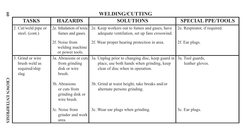| $\mathbf{S}$             |                                                            |                                                                  | <b>WELDING/CUTTING</b>                                                                                                            |                                     |
|--------------------------|------------------------------------------------------------|------------------------------------------------------------------|-----------------------------------------------------------------------------------------------------------------------------------|-------------------------------------|
|                          | <b>TASKS</b>                                               | <b>HAZARDS</b>                                                   | <b>SOLUTIONS</b>                                                                                                                  | <b>SPECIAL PPE/TOOLS</b>            |
|                          | 2. Cut/weld pipe or<br>steel. (cont.)                      | 2e. Inhalation of toxic<br>fumes and gases.                      | 2e. Keep workers out to fumes and gases, have<br>adequate ventilation, set up fans crosswind.                                     | 2e. Respirator, if required.        |
|                          |                                                            | 2f. Noise from<br>welding machine<br>or power tools.             | 2f. Wear proper hearing protection in area.                                                                                       | 2f. Ear plugs.                      |
|                          | 3. Grind or wire<br>brush weld as<br>required/ship<br>slag | 3a. Abrasions or cuts<br>from grinding<br>disk or wire<br>brush. | 3a. Unplug prior to changing disc, keep guard in<br>place, use both hands when grinding, keep<br>clear of disc when in operation. | 3a. Tool guards,<br>leather gloves. |
| <b>CROWN ENTERPRISES</b> |                                                            | 3b. Abrasions<br>or cuts from<br>grinding disk or<br>wire brush. | 3b. Grind at waist height, take breaks and/or<br>alternate persons grinding.                                                      |                                     |
|                          |                                                            | 3c. Noise from<br>grinder and work<br>area.                      | 3c. Wear ear plugs when grinding.                                                                                                 | 3c. Ear plugs.                      |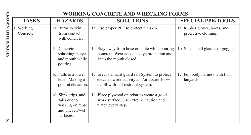|                          |                         |                                                                                          | WORKING CONCRETE AND WRECKING FORMS                                                                                                 |                                                       |
|--------------------------|-------------------------|------------------------------------------------------------------------------------------|-------------------------------------------------------------------------------------------------------------------------------------|-------------------------------------------------------|
|                          | <b>TASKS</b>            | <b>HAZARDS</b>                                                                           | <b>SOLUTIONS</b>                                                                                                                    | <b>SPECIAL PPE/TOOLS</b>                              |
| <b>CROWN ENTERPRISES</b> | 1. Working<br>Concrete. | 1a. Burns to skin<br>from contact<br>with concrete.                                      | 1a. Use proper PPE to protect the skin.                                                                                             | 1a. Rubber gloves, boots, and<br>protective clothing. |
|                          |                         | 1b. Concrete<br>splashing in eyes<br>and mouth while<br>pouring.                         | 1b. Stay away from hose or chute while pouring<br>concrete. Wear adequate eye protection and<br>keep the mouth closed.              | 1b. Side shield glasses or goggles.                   |
|                          |                         | 1c. Falls to a lower<br>level. Making a<br>pour at elevation.                            | 1c. Erect standard guard rail System to protect<br>elevated work activity and/or assure 100%<br>tie off with fall restraint system. | 1c. Full body harness with twin<br>lanyards.          |
|                          |                         | 1d. Slips, trips, and<br>falls due to<br>walking on rebar<br>and uneven/wet<br>surfaces. | 1d. Place plywood on rebar to create a good<br>work surface. Use extreme caution and<br>watch every step.                           |                                                       |
| $\circ$                  |                         |                                                                                          |                                                                                                                                     |                                                       |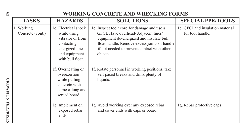## **62**

| $^{62}$                  |                                |                                                                                                                               | WORKING CONCRETE AND WRECKING FORMS                                                                                                                                                                                                      |                                                      |
|--------------------------|--------------------------------|-------------------------------------------------------------------------------------------------------------------------------|------------------------------------------------------------------------------------------------------------------------------------------------------------------------------------------------------------------------------------------|------------------------------------------------------|
|                          | <b>TASKS</b>                   | <b>HAZARDS</b>                                                                                                                | <b>SOLUTIONS</b>                                                                                                                                                                                                                         | <b>SPECIAL PPE/TOOLS</b>                             |
|                          | 1. Working<br>Concrete.(cont.) | le. Electrical shock<br>while using<br>vibrator or from<br>contacting<br>energized lines<br>and equipment<br>with bull float. | 1e. Inspect tool/cord for damage and use a<br>GFCI. Have overhead/Adjacent lines/<br>equipment de-energized and insulate bull<br>float handle. Remove excess joints of handle<br>if not needed to prevent contact with other<br>objects. | 1e. GFCI and insulation material<br>for tool handle. |
| <b>CROWN ENTERPRISES</b> |                                | 1f. Overheating or<br>overexertion<br>while pulling<br>concrete with<br>come-a-long and<br>screed board.                      | 1f. Rotate personnel in working positions, take<br>self paced breaks and drink plenty of<br>liquids.                                                                                                                                     |                                                      |
|                          |                                | 1g. Implement on<br>exposed rebar<br>ends.                                                                                    | 1g. Avoid working over any exposed rebar<br>and cover ends with caps or board.                                                                                                                                                           | 1g. Rebar protective caps                            |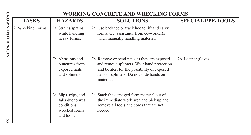|                          |                   |                                                                                         | WORKING CONCRETE AND WRECKING FORMS                                                                                                                                                                 |                          |
|--------------------------|-------------------|-----------------------------------------------------------------------------------------|-----------------------------------------------------------------------------------------------------------------------------------------------------------------------------------------------------|--------------------------|
|                          | <b>TASKS</b>      | <b>HAZARDS</b>                                                                          | <b>SOLUTIONS</b>                                                                                                                                                                                    | <b>SPECIAL PPE/TOOLS</b> |
| <b>CROWN ENTERPRISES</b> | 2. Wrecking Forms | 2a. Strains/sprains<br>while handling<br>heavy forms.                                   | 2a. Use backhoe or track hoe to lift and carry<br>forms. Get assistance from co-worker(s)<br>when manually handling material.                                                                       |                          |
|                          |                   | 2b. Abrasions and<br>punctures from<br>exposed nails<br>and splinters.                  | 2b. Remove or bend nails as they are exposed<br>and remove splinters. Wear hand protection<br>and be alert for the possibility of exposed<br>nails or splinters. Do not slide hands on<br>material. | 2b. Leather gloves       |
| £9                       |                   | 2c. Slips, trips, and<br>falls due to wet<br>conditions,<br>wrecked forms<br>and tools. | 2c. Stack the damaged form material out of<br>the immediate work area and pick up and<br>remove all tools and cords that are not<br>needed.                                                         |                          |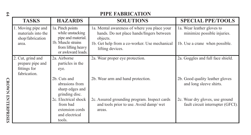| $^{64}$                  |                                                                       |                                                                                 | <b>PIPE FABRICATION</b>                                                                               |                                                                      |
|--------------------------|-----------------------------------------------------------------------|---------------------------------------------------------------------------------|-------------------------------------------------------------------------------------------------------|----------------------------------------------------------------------|
|                          | <b>TASKS</b>                                                          | <b>HAZARDS</b>                                                                  | <b>SOLUTIONS</b>                                                                                      | <b>SPECIAL PPE/TOOLS</b>                                             |
|                          | 1. Moving pipe and<br>materials into the<br>shop/fabrication          | 1a. Pinch points<br>while unstacking<br>pipe and material.                      | 1a. Mental awareness of where you place your<br>hands. Do not place hands/fingers between<br>objects. | 1a. Wear leather gloves to<br>minimize possible injuries.            |
|                          | area.                                                                 | 1b. Muscle strains<br>from lifting heavy<br>or awkward loads.                   | 1b. Get help from a co-worker. Use mechanical<br>lifting devices.                                     | 1b. Use a crane when possible.                                       |
|                          | 2. Cut, grind and<br>prepare pipe and<br>fittings for<br>fabrication. | 2a. Airborne<br>particles in the<br>eye.                                        | 2a. Wear proper eye protection.                                                                       | 2a. Goggles and full face shield.                                    |
|                          |                                                                       | 2b. Cuts and<br>abrasions from<br>sharp edges and<br>grinding disc.             | 2b. Wear arm and hand protection.                                                                     | 2b. Good quality leather gloves<br>and long sleeve shirts.           |
| <b>CROWN ENTERPRISES</b> |                                                                       | 2c. Electrical shock<br>from bad<br>extension cords<br>and electrical<br>tools. | 2c. Assured grounding program. Inspect cards<br>and tools prior to use. Avoid damp/ wet<br>areas.     | 2c. Wear dry gloves, use ground<br>fault circuit interrupter (GFCI). |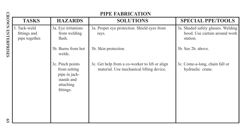|                          | PIPE FABRICATION                               |                                                                                           |                                                                                            |                                                                                 |
|--------------------------|------------------------------------------------|-------------------------------------------------------------------------------------------|--------------------------------------------------------------------------------------------|---------------------------------------------------------------------------------|
|                          | <b>TASKS</b>                                   | <b>HAZARDS</b>                                                                            | <b>SOLUTIONS</b>                                                                           | <b>SPECIAL PPE/TOOLS</b>                                                        |
| <b>CROWN ENTERPRISES</b> | 3. Tack-weld<br>fittings and<br>pipe together. | 3a. Eye irritations<br>from welding<br>flash.                                             | 3a. Proper eye protection. Shield eyes from<br>rays.                                       | 3a. Shaded safety glasses. Welding<br>hood. Use curtain around work<br>station. |
|                          |                                                | 3b. Burns from hot<br>welds.                                                              | 3b. Skin protection.                                                                       | 3b. See 2b. above.                                                              |
|                          |                                                | 3c. Pinch points<br>from setting<br>pipe in jack-<br>stands and<br>attaching<br>fittings. | 3c. Get help from a co-worker to lift or align<br>material. Use mechanical lifting device. | 3c. Come-a-long, chain fall or<br>hydraulic crane.                              |
| $\mathbf{c}_2$           |                                                |                                                                                           |                                                                                            |                                                                                 |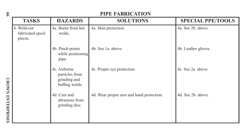| 99                       | <b>PIPE FABRICATION</b>                    |                                                                  |                                          |                          |
|--------------------------|--------------------------------------------|------------------------------------------------------------------|------------------------------------------|--------------------------|
|                          | <b>TASKS</b>                               | <b>HAZARDS</b>                                                   | <b>SOLUTIONS</b>                         | <b>SPECIAL PPE/TOOLS</b> |
|                          | 4. Weld-out<br>fabricated spool<br>pieces. | 4a. Burns from hot<br>welds.                                     | 4a. Skin protection.                     | 4a. See 2b. above.       |
|                          |                                            | 4b. Pinch points<br>while positioning<br>pipe.                   | 4b. See 1a. above.                       | 4b. Leather gloves.      |
|                          |                                            | 4c. Airborne<br>particles from<br>grinding and<br>buffing welds. | 4c. Proper eye protection.               | 4c. See 2a, above.       |
| <b>CROWN ENTERPRISES</b> |                                            | 4d. Cuts and<br>abrasions from<br>grinding disc.                 | 4d. Wear proper arm and hand protection. | 4d. See 2b. above.       |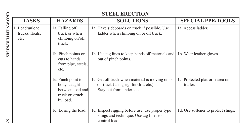|                          | <b>STEEL ERECTION</b>                     |                                                                                       |                                                                                                                       |                                            |
|--------------------------|-------------------------------------------|---------------------------------------------------------------------------------------|-----------------------------------------------------------------------------------------------------------------------|--------------------------------------------|
|                          | <b>TASKS</b>                              | <b>HAZARDS</b>                                                                        | <b>SOLUTIONS</b>                                                                                                      | <b>SPECIAL PPE/TOOLS</b>                   |
| <b>CROWN ENTERPRISES</b> | 1. Load/unload<br>trucks, floats,<br>etc. | 1a. Falling off<br>truck or when<br>climbing $on/off$<br>truck.                       | 1a. Have sideboards on truck if possible. Use<br>ladder when climbing on or off truck.                                | 1a. Access ladder.                         |
|                          |                                           | 1b. Pinch points or<br>cuts to hands<br>from pipe, steels,<br>etc.                    | 1b. Use tag lines to keep hands off materials and 1b. Wear leather gloves.<br>out of pinch points.                    |                                            |
|                          |                                           | 1c. Pinch point to<br>body, caught<br>between load and<br>truck or struck<br>by load. | 1c. Get off truck when material is moving on or<br>off truck (using rig, forklift, etc.)<br>Stay out from under load. | 1c. Protected platform area on<br>trailer. |
| $\mathfrak{S}$           |                                           | 1d. Losing the load.                                                                  | 1d. Inspect rigging before use, use proper type<br>slings and technique. Use tag lines to<br>control load.            | 1d. Use softener to protect slings.        |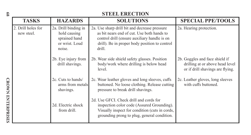| 89                       | <b>STEEL ERECTION</b>            |                                                                                   |                                                                                                                                                                                                        |                                                                                                       |
|--------------------------|----------------------------------|-----------------------------------------------------------------------------------|--------------------------------------------------------------------------------------------------------------------------------------------------------------------------------------------------------|-------------------------------------------------------------------------------------------------------|
|                          | TASKS                            | <b>HAZARDS</b>                                                                    | <b>SOLUTIONS</b>                                                                                                                                                                                       | <b>SPECIAL PPE/TOOLS</b>                                                                              |
|                          | 2. Drill holes for<br>new steel. | 2a. Drill binding in<br>hold causing<br>sprained hand<br>or wrist. Loud<br>noise. | 2a. Use sharp drill bit and decrease pressure<br>as bit nears end of cut. Use both hands to<br>control drill (ensure auxiliary handle is on<br>drill). Be in proper body position to control<br>drill. | 2a. Hearing protection.                                                                               |
|                          |                                  | 2b. Eye injury from<br>drill shavings.                                            | 2b. Wear side shield safety glasses. Position<br>body/work where drilling is below head<br>level.                                                                                                      | 2b. Goggles and face shield if<br>drilling at or above head level<br>or if drill shavings are flying. |
|                          |                                  | 2c. Cuts to hands/<br>arms from metals<br>shavings.                               | 2c. Wear leather gloves and long sleeves, cuffs<br>buttoned. No loose clothing. Release cutting<br>pressure to break drill shavings.                                                                   | 2c. Leather gloves, long sleeves<br>with cuffs buttoned.                                              |
| <b>CROWN ENTERPRISES</b> |                                  | 2d. Electric shock<br>from drill.                                                 | 2d. Use GFCI. Check drill and cords for<br>inspection color code (Assured Grounding).<br>Visually inspect for condition (cuts in cords,<br>grounding prong to plug, general condition.                 |                                                                                                       |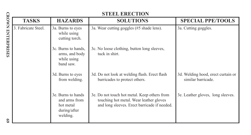|                          | <b>STEEL ERECTION</b> |                                                                              |                                                                                                                                         |                                                          |
|--------------------------|-----------------------|------------------------------------------------------------------------------|-----------------------------------------------------------------------------------------------------------------------------------------|----------------------------------------------------------|
|                          | <b>TASKS</b>          | <b>HAZARDS</b>                                                               | <b>SOLUTIONS</b>                                                                                                                        | <b>SPECIAL PPE/TOOLS</b>                                 |
| <b>CROWN ENTERPRISES</b> | 3. Fabricate Steel.   | 3a. Burns to eyes<br>while using<br>cutting torch.                           | 3a. Wear cutting goggles (#5 shade lens).                                                                                               | 3a. Cutting goggles.                                     |
|                          |                       | 3c. Burns to hands,<br>arms, and body<br>while using<br>band saw.            | 3c. No loose clothing, button long sleeves,<br>tuck in shirt.                                                                           |                                                          |
|                          |                       | 3d. Burns to eyes<br>from welding.                                           | 3d. Do not look at welding flash. Erect flash<br>barricades to protect others.                                                          | 3d. Welding hood, erect curtain or<br>similar barricade. |
|                          |                       | 3e. Burns to hands<br>and arms from<br>hot metal<br>during/after<br>welding. | 3e. Do not touch hot metal. Keep others from<br>touching hot metal. Wear leather gloves<br>and long sleeves. Erect barricade if needed. | 3e. Leather gloves, long sleeves.                        |
| $\mathbf{S}$             |                       |                                                                              |                                                                                                                                         |                                                          |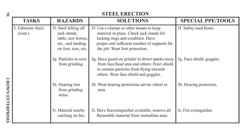| <b>STEEL ERECTION</b><br>2 |                                |                                                                                                         |                                                                                                                                                                                                            |                           |
|----------------------------|--------------------------------|---------------------------------------------------------------------------------------------------------|------------------------------------------------------------------------------------------------------------------------------------------------------------------------------------------------------------|---------------------------|
|                            | <b>TASKS</b>                   | <b>HAZARDS</b>                                                                                          | <b>SOLUTIONS</b>                                                                                                                                                                                           | <b>SPECIAL PPE/TOOLS</b>  |
|                            | 3. Fabricate Steel.<br>(cont.) | 3f. Steel falling off<br>jack stands,<br>table, saw horses,<br>etc., and landing<br>on foot, toes, etc. | 3f. Use c-clamps or other means to keep<br>material in place. Check jack stands for<br>locking rings and condition. Have<br>proper and sufficient number of supports for<br>the job. Wear foot protection. | 3f. Safety-toed boots.    |
|                            |                                | 3g. Particles in eyes<br>from grinding.                                                                 | 3g. Have guard on grinder to direct sparks away<br>from face/head area and others. Erect shield<br>to contain particles from flying towards<br>others. Wear face shield and goggles.                       | 3g. Face shield, goggles. |
| <b>CROWN ENTERPRISES</b>   |                                | 3h. Hearing loss<br>from grinding<br>noise.                                                             | 3h. Wear hearing protection-advise others in<br>area.                                                                                                                                                      | 3h. Hearing protection.   |
|                            |                                | 3i. Material nearby<br>catching on fire.                                                                | 31. Have fire extinguisher available, remove all<br>flammable material from immediate area.                                                                                                                | 3i. Fire extinguisher.    |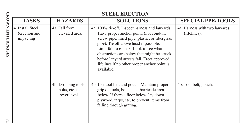|                          |                                                 | <b>STEEL ERECTION</b>                                 |                                                                                                                                                                                                                                                                                                                                                                                              |                                               |  |  |  |
|--------------------------|-------------------------------------------------|-------------------------------------------------------|----------------------------------------------------------------------------------------------------------------------------------------------------------------------------------------------------------------------------------------------------------------------------------------------------------------------------------------------------------------------------------------------|-----------------------------------------------|--|--|--|
|                          | <b>TASKS</b>                                    | <b>HAZARDS</b>                                        | <b>SOLUTIONS</b>                                                                                                                                                                                                                                                                                                                                                                             | <b>SPECIAL PPE/TOOLS</b>                      |  |  |  |
| <b>CROWN ENTERPRISES</b> | 4. Install Steel<br>(erection and<br>impacting) | 4a. Fall from<br>elevated area.                       | 4a. 100% tie-off. Inspect harness and lanyards.<br>Have proper anchor point. (not conduit,<br>screw pipe, lined pipe, plastic, or fiberglass<br>pipe). Tie off above head if possible.<br>Limit fall to 6' max. Look to see what<br>obstructions are below that might be struck<br>before lanyard arrests fall. Erect approved<br>lifelines if no other proper anchor point is<br>available. | 4a. Harness with two lanyards<br>(lifelines). |  |  |  |
| $\overline{ }$           |                                                 | 4b. Dropping tools,<br>bolts, etc. to<br>lower level. | 4b. Use tool belt and pouch. Maintain proper<br>grip on tools, bolts, etc., barricade area<br>below. If there a floor below, lay down<br>plywood, tarps, etc. to prevent items from<br>falling through grating.                                                                                                                                                                              | 4b. Tool belt, pouch.                         |  |  |  |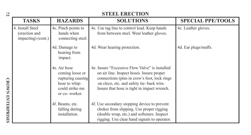| 72                       | <b>STEEL ERECTION</b>                                   |                                                                                                           |                                                                                                                                                                                                                                        |                          |  |  |
|--------------------------|---------------------------------------------------------|-----------------------------------------------------------------------------------------------------------|----------------------------------------------------------------------------------------------------------------------------------------------------------------------------------------------------------------------------------------|--------------------------|--|--|
|                          | <b>TASKS</b>                                            | <b>HAZARDS</b>                                                                                            | <b>SOLUTIONS</b>                                                                                                                                                                                                                       | <b>SPECIAL PPE/TOOLS</b> |  |  |
|                          | 4. Install Steel<br>(erection and<br>impacting) (cont.) | 4c. Pinch points to<br>hands when<br>connecting steel.                                                    | 4c. Use tag line to control load. Keep hands<br>from between steel. Wear leather gloves.                                                                                                                                               | 4c. Leather gloves.      |  |  |
|                          |                                                         | 4d. Damage to<br>hearing from<br>impact.                                                                  | 4d. Wear hearing protection.                                                                                                                                                                                                           | 4d. Ear plugs/muffs.     |  |  |
|                          |                                                         | 4e. Air hose<br>coming loose or<br>rupturing causing<br>hose to whip-<br>could strike me<br>or co-worker. | 4e. Insure "Excessive Flow Valve" is installed<br>on air line. Inspect hoses. Insure proper<br>connections (pins in crow's foot, lock rings<br>on cleco, etc. and safety tie-back wire.<br>Insure that hose is tight in impact wrench. |                          |  |  |
| <b>CROWN ENTERPRISES</b> |                                                         | 4f. Beams, etc.<br>falling during<br>installation.                                                        | 4f. Use secondary stopping device to prevent<br>choker from slipping. Use proper rigging<br>(double wrap, etc.) and softeners. Inspect<br>rigging. Use clear hand signals to operator.                                                 |                          |  |  |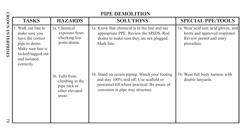|                          |                                                                                                                                                   | PIPE DEMOLITION                                                               |                                                                                                                                                                              |                                                                                                                 |  |  |  |
|--------------------------|---------------------------------------------------------------------------------------------------------------------------------------------------|-------------------------------------------------------------------------------|------------------------------------------------------------------------------------------------------------------------------------------------------------------------------|-----------------------------------------------------------------------------------------------------------------|--|--|--|
|                          | <b>TASKS</b>                                                                                                                                      | <b>HAZARDS</b>                                                                | <b>SOLUTIONS</b>                                                                                                                                                             | <b>SPECIAL PPE/TOOLS</b>                                                                                        |  |  |  |
| <b>CROWN ENTERPRISES</b> | 1. Walk out line to<br>make sure you<br>have the correct<br>pipe to demo.<br>Make sure line is<br>locked/tagged out<br>and isolated<br>correctly. | 1a. Chemical<br>exposure from<br>checking low<br>point drains.                | 1a. Know that chemical is in the line and use<br>appropriate PPE. Review the MSDS. Rod<br>drains to make sure they are not plugged.<br>Mark line.                            | 1a. Wear acid suit, acid gloves, and<br>boots and approved respirator.<br>Review permit and entry<br>procedure. |  |  |  |
|                          |                                                                                                                                                   | 1b. Falls from<br>climbing in the<br>pipe rack or<br>other elevated<br>areas. | 1b. Stand on secure piping. Watch your footing<br>and stay 100% tied off. Use scaffold or<br>personnel lift where practical. Be aware of<br>corrosion in pipe way structure. | 1b. Wear full body harness with<br>double lanyards.                                                             |  |  |  |
| 73                       |                                                                                                                                                   |                                                                               |                                                                                                                                                                              |                                                                                                                 |  |  |  |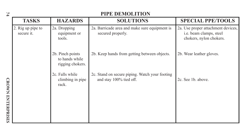| 74                       | PIPE DEMOLITION                 |                                                        |                                                                           |                                                                                          |  |  |
|--------------------------|---------------------------------|--------------------------------------------------------|---------------------------------------------------------------------------|------------------------------------------------------------------------------------------|--|--|
|                          | <b>TASKS</b>                    | <b>HAZARDS</b>                                         | <b>SOLUTIONS</b>                                                          | <b>SPECIAL PPE/TOOLS</b>                                                                 |  |  |
|                          | 2. Rig up pipe to<br>secure it. | 2a. Dropping<br>equipment or<br>tools.                 | 2a. Barricade area and make sure equipment is<br>secured properly.        | 2a. Use proper attachment devices,<br>i.e. beam clamps, steel<br>chokers, nylon chokers. |  |  |
|                          |                                 | 2b. Pinch points<br>to hands while<br>rigging chokers. | 2b. Keep hands from getting between objects.                              | 2b. Wear leather gloves.                                                                 |  |  |
| <b>CROWN ENTERPRISES</b> |                                 | 2c. Falls while<br>climbing in pipe<br>rack.           | 2c. Stand on secure piping. Watch your footing<br>and stay 100% tied off. | 2c. See 1b. above.                                                                       |  |  |

**74**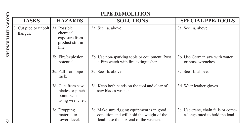|                          |                                                | PIPE DEMOLITION                                                        |                                                                                                                                 |                                                                        |  |  |  |
|--------------------------|------------------------------------------------|------------------------------------------------------------------------|---------------------------------------------------------------------------------------------------------------------------------|------------------------------------------------------------------------|--|--|--|
|                          | <b>TASKS</b>                                   | <b>HAZARDS</b>                                                         | <b>SOLUTIONS</b>                                                                                                                | <b>SPECIAL PPE/TOOLS</b>                                               |  |  |  |
| <b>CROWN ENTERPRISES</b> | 3. Cut pipe or unbolt 3a. Possible<br>flanges. | chemical<br>exposure from<br>product still in<br>line.                 | 3a. See 1a. above.                                                                                                              | 3a. See 1a. above.                                                     |  |  |  |
|                          |                                                | 3b. Fire/explosion<br>potential.                                       | 3b. Use non-sparking tools or equipment. Post<br>a Fire watch with fire extinguisher.                                           | 3b. Use German saw with water<br>or brass wrenches.                    |  |  |  |
|                          |                                                | 3c. Fall from pipe<br>rack.                                            | 3c. See 1b. above.                                                                                                              | 3c. See 1b. above.                                                     |  |  |  |
|                          |                                                | 3d. Cuts from saw<br>blades or pinch<br>points when<br>using wrenches. | 3d. Keep both hands on the tool and clear of<br>saw blades wrench.                                                              | 3d. Wear leather gloves.                                               |  |  |  |
| $\vee$<br>ui             |                                                | 3e. Dropping<br>material to<br>lower level.                            | 3e. Make sure rigging equipment is in good<br>condition and will hold the weight of the<br>load. Use the box end of the wrench. | 3e. Use crane, chain falls or come-<br>a-longs rated to hold the load. |  |  |  |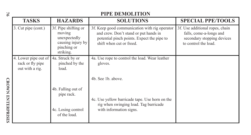| PIPE DEMOLITION<br>76    |                                                             |                                                                                                 |                                                                                                                                                                  |                                                                                                                  |
|--------------------------|-------------------------------------------------------------|-------------------------------------------------------------------------------------------------|------------------------------------------------------------------------------------------------------------------------------------------------------------------|------------------------------------------------------------------------------------------------------------------|
|                          | <b>TASKS</b>                                                | <b>HAZARDS</b>                                                                                  | <b>SOLUTIONS</b>                                                                                                                                                 | <b>SPECIAL PPE/TOOLS</b>                                                                                         |
|                          | 3. Cut pipe (cont.)                                         | 3f. Pipe shifting or<br>moving<br>unexpectedly<br>causing injury by<br>pinching or<br>striking. | 3f. Keep good communication with rig operator<br>and crew. Don't stand or put hands in<br>potential pinch points. Expect the pipe to<br>shift when cut or freed. | 3f. Use additional ropes, chain<br>falls, come-a-longs and<br>secondary stopping devices<br>to control the load. |
|                          | 4. Lower pipe out of<br>rack or fly pipe<br>out with a rig. | 4a. Struck by or<br>pinched by the<br>load.                                                     | 4a. Use rope to control the load. Wear leather<br>gloves.                                                                                                        |                                                                                                                  |
|                          |                                                             | 4b. Falling out of                                                                              | 4b. See 1b. above.                                                                                                                                               |                                                                                                                  |
| <b>CROWN ENTERPRISES</b> |                                                             | pipe rack.<br>4c. Losing control                                                                | 4c. Use yellow barricade tape. Use horn on the<br>rig when swinging load. Tag barricade<br>with information signs.                                               |                                                                                                                  |
|                          |                                                             | of the load.                                                                                    |                                                                                                                                                                  |                                                                                                                  |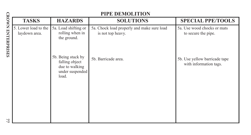|                          |                                       | PIPE DEMOLITION                                                                    |                                                                 |                                                         |  |  |  |
|--------------------------|---------------------------------------|------------------------------------------------------------------------------------|-----------------------------------------------------------------|---------------------------------------------------------|--|--|--|
|                          | <b>TASKS</b>                          | <b>HAZARDS</b>                                                                     | <b>SOLUTIONS</b>                                                | <b>SPECIAL PPE/TOOLS</b>                                |  |  |  |
| <b>CROWN ENTERPRISES</b> | 5. Lower load to the<br>laydown area. | 5a. Load shifting or<br>rolling when in<br>the ground.                             | 5a. Chock load properly and make sure load<br>is not top heavy. | 5a. Use wood chocks or mats<br>to secure the pipe.      |  |  |  |
|                          |                                       | 5b. Being stuck by<br>falling object<br>due to walking<br>under suspended<br>load. | 5b. Barricade area.                                             | 5b. Use yellow barricade tape<br>with information tags. |  |  |  |
| 77                       |                                       |                                                                                    |                                                                 |                                                         |  |  |  |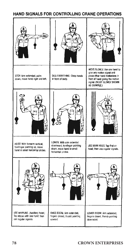## HAND SIGNALS FOR CONTROLLING CRANE OPERATIONS

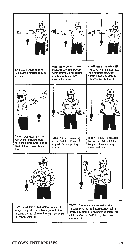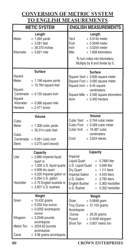# **CONVERSION OF METRIC SYSTEM TO ENGLISH MEASUREMENTS**

|                                                             | <b>METIC SYSTEM</b>                                                                                                                                                                                                        | <b>ENGLISH MEASUREMENTS</b>                                                                                                                                                                                                                                                                         |  |
|-------------------------------------------------------------|----------------------------------------------------------------------------------------------------------------------------------------------------------------------------------------------------------------------------|-----------------------------------------------------------------------------------------------------------------------------------------------------------------------------------------------------------------------------------------------------------------------------------------------------|--|
| Meter<br>Kilometer                                          | Length<br>$= 1.093$ yards<br>$= 3.281$ feet<br>$= 39.370$ inches<br>$= 0.621$ mile                                                                                                                                         | Length<br>$= 0.9144$ meter<br>Yard<br>Foot<br>$= 0.3048$ meter<br>Inch<br>$= 0.0254$ meter<br>Mile<br>$= 1.609$ kilometers<br>To turn miles into kilometers,                                                                                                                                        |  |
|                                                             |                                                                                                                                                                                                                            | Multiply by 8 and divide by 5.                                                                                                                                                                                                                                                                      |  |
| Square<br>Meter<br>Square<br>Square<br>Kilometer<br>Hectare | Surface<br>$= 1.196$ square yards<br>$= 10.764$ square feet<br>Centimeter = $0.155$ square inch<br>$= 0.386$ square mile<br>$= 2.471$ acres                                                                                | Surface<br>Square Yard = 0.836 square meter<br>Square Foot = 0.092 square meter<br>Square Inch = $6.45$ square<br>centimeters<br>Square Mile = 2.590 square kilometers<br>$= 0.405$ hectare<br>Acre                                                                                                 |  |
| Cubic<br>Meter<br>Cubic<br><b>Stere</b>                     | Volume<br>$= 1.308$ cubic yards<br>$= 35.314$ cubic feet<br>Centimeter = $0.061$ cubic inch<br>$= 0.275$ card (wood)                                                                                                       | Volume<br>Cubic Yard<br>$= 0.764$ cubic meter<br>Cubic Foot<br>$= 0.028$ cubic meter<br>Cubic Inch<br>$= 16.387$ cubic<br>centimeters<br>Cord<br>$= 3.624$ steres                                                                                                                                   |  |
| Liter<br>Hectoliter                                         | Capacity<br>$= 0.880$ Imperial liquid<br>quart or<br>$= 1.056$ U.S. liquid quarts<br>$= 0.908$ dry quart<br>$= 0.220$ Imperial gallon or<br>$= 0.264$ U.S. gallon<br>$= 2.75$ English bushels or<br>$= 2.837$ U.S. bushels | Capacity<br>Imperial<br>Liquid Quart<br>$= 0.7883$ liter<br>U.S. Liquid Quart<br>$= 0.946$ liter<br>Dry Quart<br>$= 1.111$ liters<br>Imperial Gallon<br>$= 4.543$ liters<br>U.S. Gallon<br>$= 3.785$ liters<br><b>English Bushel</b><br>$= 0.363$ hectoliter<br>U.S. Bushel<br>$= 0.352$ hectoliter |  |
| Gram<br>Kilogram<br>Metric Ton<br>Carat                     | Weight<br>$= 15.432$ grains<br>$= 0.032$ troy ounce<br>$= 0.0352$ avoirdupois<br>ounce<br>$= 2.2046$ pounds<br>avoirdupois<br>$= 2204.62$ pounds<br>avoirdupois<br>$= 3.08$ grains avoirdupois                             | Weight<br>$= 0.0648$ gram<br>Grain<br><b>Troy Ounce</b><br>$= 31.103$ grams<br>Avoirdupois<br>Ounce<br>$= 28.35$ grams<br>$= 0.4536$ kilogram<br>Pound<br>Short Ton<br>$= 0.907$ metric ton                                                                                                         |  |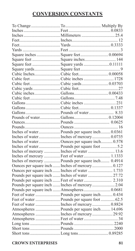# **CONVERSION CONSTANTS**

| Square inches  Square feet 0.00694               |  |
|--------------------------------------------------|--|
| Square feet Square inches 144                    |  |
|                                                  |  |
|                                                  |  |
|                                                  |  |
| Cubic feetCubic inches1728                       |  |
|                                                  |  |
|                                                  |  |
|                                                  |  |
|                                                  |  |
|                                                  |  |
|                                                  |  |
|                                                  |  |
|                                                  |  |
|                                                  |  |
|                                                  |  |
| Inches of water Pounds per square inch 0.0361    |  |
|                                                  |  |
| Inches of waterOunces per square inch 0.578      |  |
|                                                  |  |
| Inches of mercury  Inches of water  13.6         |  |
| Inches of mercury  Feet of water 1.1333          |  |
| Inches of mercury  Pounds per square inch 0.4914 |  |
| Ounces per square inch  Inches of mercury  0.127 |  |
| Ounces per square inch  Inches of water  1.733   |  |
| Pounds per square inch  Inches of water  27.72   |  |
|                                                  |  |
| Pounds per square inch  Inches of mercury  2.04  |  |
| Pounds per square inch  Atmospheres  0.0681      |  |
| Feet of water  Pounds per square inch 0.434      |  |
|                                                  |  |
| Feet of water  Inches of mercury  0.8824         |  |
| Atmospheres  Pounds per square inch 14.696       |  |
| Atmospheres  Inches of mercury  29.92            |  |
|                                                  |  |
|                                                  |  |
|                                                  |  |
|                                                  |  |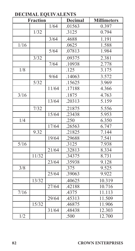# **DECIMAL EQUIVALENTS**

| <b>Fraction</b>  |       | <b>Decimal</b> | <b>Millimeters</b> |        |
|------------------|-------|----------------|--------------------|--------|
|                  |       | 1/64           | .01563             | 0.397  |
|                  | 1/32  |                | .3125              | 0.794  |
|                  |       | 3/64           | .4688              | 1.191  |
| 1/16             |       |                | .0625              | 1.588  |
|                  |       | 5/64           | .07813             | 1.984  |
|                  | 3/32  |                | .09375             | 2.381  |
|                  |       | 7/64           | .10938             | 2.778  |
| 1/8              |       |                | .125               | 3.175  |
|                  |       | 9/64           | .14063             | 3.572  |
|                  | 5/32  |                | .15625             | 3.969  |
|                  |       | 11/64          | .17188             | 4.366  |
| 3/16             |       |                | .1875              | 4.763  |
|                  |       | 13/64          | .20313             | 5.159  |
|                  | 7/32  |                | .21875             | 5.556  |
|                  |       | 15/64          | .23438             | 5.953  |
| 1/4              |       |                | .250               | 6.350  |
|                  |       | 17/64          | .26563             | 6.747  |
|                  | 9.32  |                | .21825             | 7.144  |
|                  |       | 19/64          | .29688             | 7.541  |
| 5/16             |       |                | .3125              | 7.938  |
|                  |       | 21/64          | .32813             | 8.334  |
|                  | 11/32 |                | .34375             | 8.731  |
|                  |       | 23/64          | .35938             | 9.128  |
| 3/8              |       |                | .375               | 9.525  |
|                  |       | 25/64          | .39063             | 9.922  |
|                  | 13/32 |                | .40625             | 10.319 |
|                  |       | 27/64          | .42188             | 10.716 |
| 7/16             |       |                | .4375              | 11.113 |
|                  |       | 29/64          | .45313             | 11.509 |
|                  | 15/32 |                | .46875             | 11.906 |
|                  |       | 31/64          | .48438             | 12.303 |
| $\overline{1/2}$ |       |                | .500               | 12.700 |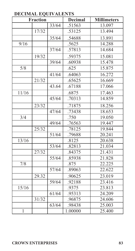## **DECIMAL EQUIVALENTS**

| <b>Fraction</b> |       | <b>Decimal</b> | <b>Millimeters</b> |        |
|-----------------|-------|----------------|--------------------|--------|
|                 |       | 33/64          | .51563             | 13.097 |
|                 | 17/32 |                | .53125             | 13.494 |
|                 |       | 35/64          | .54688             | 13.891 |
| 9/16            |       |                | .5625              | 14.288 |
|                 |       | 37/64          | .57813             | 14.684 |
|                 | 19/32 |                | .59375             | 15.081 |
|                 |       | 39/64          | .60938             | 15.478 |
| 5/8             |       |                | .625               | 15.875 |
|                 |       | 41/64          | .64063             | 16.272 |
|                 | 21/32 |                | .65625             | 16.669 |
|                 |       | 43.64          | .67188             | 17.066 |
| 11/16           |       |                | .6875              | 17.463 |
|                 |       | 45/64          | .70313             | 14.859 |
|                 | 23/32 |                | .71875             | 18.256 |
|                 |       | 47/64          | .73438             | 18.653 |
| 3/4             |       |                | .750               | 19.050 |
|                 |       | 49/64          | .76563             | 19.447 |
|                 | 25/32 |                | .78125             | 19.844 |
|                 |       | 51/64          | .79688             | 20.241 |
| 13/16           |       |                | .8125              | 20.638 |
|                 |       | 53/64          | .82813             | 21.034 |
|                 | 27/32 |                | .84375             | 21.431 |
|                 |       | 55/64          | .85938             | 21.828 |
| 7/8             |       |                | .875               | 22.225 |
|                 |       | 57/64          | .89063             | 22.622 |
|                 | 29.32 |                | .90625             | 23.019 |
|                 |       | 59/64          | .92188             | 23.416 |
| 15/16           |       |                | .9375              | 23.813 |
|                 |       | 61/64          | .95313             | 24.209 |
|                 | 31/32 |                | .96875             | 24.606 |
|                 |       | 63/64          | .98438             | 25.003 |
| $\mathbf{1}$    |       |                | 1.00000            | 25.400 |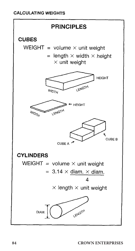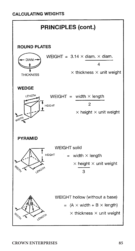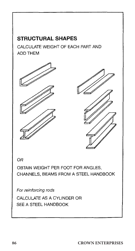# **STRUCTURAL SHAPES**

CALCULATE WEIGHT OF EACH PART AND ADD THEM





**OR** 

OBTAIN WEIGHT PER FOOT FOR ANGLES. CHANNELS, BEAMS FROM A STEEL HANDBOOK

For reinforcing rods

CALCULATE AS A CYLINDER OR SEE A STEEL HANDBOOK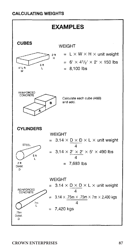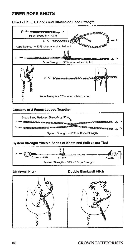### Effect of Knots, Bends and Hitches on Rope Strength



### Capacity of 2 Ropes Looped Together



### System Strength When a Series of Knots and Splices are Tied



#### **Blackwall Hitch**



### Double Blackwall Hitch

### **88 CROWN ENTERPRISES**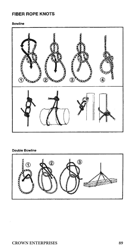### Bowline



## Double Bowline

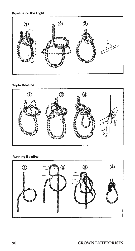## Bowline on the Right



## **Triple Bowline**



## **Running Bowline**

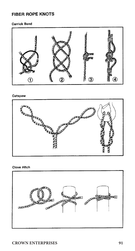### **Carrick Bend**



#### Catspaw



### Clove Hitch

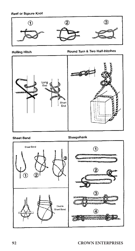Reef or Sqaure Knot



**Rolling Hitch** 





### **Sheet Bend**

Sheepshank

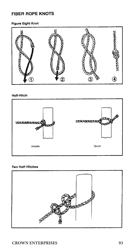## Figure Eight Knot



### **Half-Hitch**



### **Two Half-Hitches**

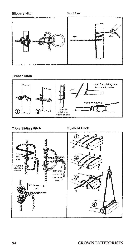### **Slippery Hitch**



### **Timber Hitch**



#### **Triple Sliding Hitch**

### **Scaffold Hitch**

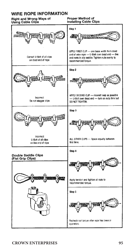## WIRE ROPE INFORMATION

#### Right and Wrong Ways of Using Cable Clips

Proper Method of **Installing Cable Clips** 

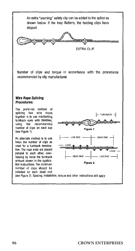An extra "warning" safety clip can be added to the splice as shown below. If the loop flattens, the holding clips have slipped.



Number of clips and torque in accordance with the procedures recommended by clip manufacturer.

### Wire Rope Splicing **Procedures:**

The preferred method of splicing two wire ropes together is to use interlocking tumback eyes with thimbles, using the recommended number of clips on each eve (see Figure 1).

An alternate method is to use twice the number of clips as used for a turnback termination. The rope ends are placed parallel to each other, overlapping by twice the turnback amount shown in the application instructions. The minimum number of clips should be installed on each dead end

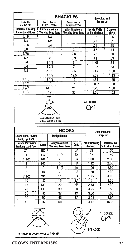| <b>SHACKLES</b><br><b>Quenched and</b>       |                                                   |                                                        |                                        |                    |  |
|----------------------------------------------|---------------------------------------------------|--------------------------------------------------------|----------------------------------------|--------------------|--|
| Screw Pin<br>and Bolt Type                   | Carbon Shackle<br>Design Factor 6/7               | <b>Tempered</b><br>Carbon Shackie<br>Design Factor 5/7 |                                        |                    |  |
| Nominal Size (In)<br><b>Diameter of Bows</b> | <b>Carbon Maximum</b><br><b>Working Load Tons</b> | <b>Alloy Maximum</b><br>Working Load Tons              | <b>Inside Width</b><br>at Pin (Inches) | Diameter<br>of Pin |  |
| 3/16                                         | 1/3                                               |                                                        | .38                                    | .25                |  |
| 1/4                                          | 1/2                                               |                                                        | .47                                    | .31                |  |
| 5/16                                         | 3/4                                               |                                                        | .53                                    | .38                |  |
| 3/8                                          | 1                                                 | 2                                                      | .66                                    | .44                |  |
| 7/16                                         | 11/2                                              | 2.8                                                    | .75                                    | .50                |  |
| 1/2                                          | 2                                                 | 3.3                                                    | .81                                    | .63                |  |
| 5/8                                          | 31/4                                              | 5                                                      | 1.06                                   | .75                |  |
| 3/4                                          | 43/4                                              | 7                                                      | 1.25                                   | .88                |  |
| 7/8                                          | 61/2                                              | 9.5                                                    | 1.44                                   | 1.00               |  |
| 1                                            | 8 1/2                                             | 12.5                                                   | 1.59                                   | 1.13               |  |
| 11/8                                         | 91/2                                              | 15                                                     | 1.81                                   | 1.25               |  |
| 11/4                                         | 12                                                | 18                                                     | 2.003                                  | 1.38               |  |
| 13/8                                         | 13 1/2                                            | 21                                                     | 2.25                                   | 1.50               |  |
| 11/2                                         | 17                                                | 30                                                     | 2.38                                   | 1.63               |  |
| QUIC-CHECK                                   |                                                   |                                                        |                                        |                    |  |

|                                                   | <b>HOOKS</b><br><b>Ouenched and</b> |                                                  |      |                                   |                                 |  |
|---------------------------------------------------|-------------------------------------|--------------------------------------------------|------|-----------------------------------|---------------------------------|--|
| Shank Hook, Swivel<br><b>Hook, Eye Hook</b>       |                                     | <b>Design Factor</b>                             |      |                                   | Tempered                        |  |
| <b>Carbon Maximum</b><br><b>Working Load Tons</b> | Code                                | <b>Alloy Maximum</b><br><b>Working Load Tons</b> | Code | <b>Throat Opening</b><br>(Inches) | Deformation<br>Indication A - A |  |
| 3/4                                               | ĎĈ                                  |                                                  | DA   | .88                               | 1.50                            |  |
|                                                   | FC                                  | 11/2                                             | FA   | .97                               | 1.50                            |  |
| 1 1/2                                             | GC                                  | 2                                                | GA   | 1.00                              | 2.00                            |  |
| 2                                                 | HС                                  | 3                                                | HA   | 1.12                              | 2.00                            |  |
| 3                                                 | IC                                  | 4 1/2                                            | IA   | 1.06                              | 2.50                            |  |
| 5                                                 | JC                                  | 7                                                | JA   | 1.50                              | 3.00                            |  |
| 7 1/2                                             | КC                                  | 11                                               | КA   | 1.75                              | 4.00                            |  |
| 10                                                | LC                                  | 15                                               | LA   | 1.91                              | 4.00                            |  |
| 15                                                | <b>NC</b>                           | 22                                               | NA   | 2.75                              | 5.00                            |  |
| 20                                                | 0C                                  | 30                                               | OA   | 3.25                              | 6.50                            |  |
| 25                                                | PC                                  | 37                                               | PA   | 3.00                              | 7.00                            |  |
| 30                                                | sc                                  | 45                                               | SA   | 3.08                              | 8.00                            |  |
| 40                                                | TC                                  | 60                                               | ТC   | 4.12                              | 10.00                           |  |

MAXIMUM INCLUDED<br>ANGLE 120 DEGREES





MAXIMUM INC. UDED ANGLE 90 DEGREES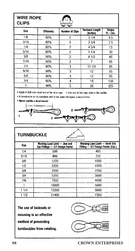## **WIRE ROPE CLIPS**



| ਚਾ ਦਾ |            |                        |                                    |                       |  |
|-------|------------|------------------------|------------------------------------|-----------------------|--|
| Size  | Efficiency | <b>Number of Clips</b> | <b>Turnback Length</b><br>(Inches) | Torque<br>$H - Lbs$ . |  |
| 1/8   | 80%        | 2                      | 31/4                               | 4.5                   |  |
| 3/16  | 80%        | $\overline{c}$         | 33/4                               | 7.5                   |  |
| 1/4   | 80%        | 2                      | 43/4                               | 15                    |  |
| 5/16  | 80%        | 2                      | 51/4                               | 30                    |  |
| 3/8   | 80%        | $\overline{c}$         | 61/2                               | 45                    |  |
| 7/16  | 80%        | $\overline{c}$         |                                    | 65                    |  |
| 1/2   | 80%        | 3                      | 11 1/2                             | 85                    |  |
| 9/16  | 80%        | 3                      | 12                                 | 95                    |  |
| 5/8   | 80%        | 3                      | 12                                 | 95                    |  |
| 3/4   | 80%        | 4                      | 18                                 | 130                   |  |
|       | 90%        | 5                      | 26                                 | 225                   |  |

. Apply U-Bolt over dead end of the wire rope. . Live end of the rope rests in the saddle.

. A termination is not complete until it has been retorqued a second time.

· Never saddle a dead horse!



| <b>TURNBUCKLE</b> |                                                                  |                                                                     |  |  |
|-------------------|------------------------------------------------------------------|---------------------------------------------------------------------|--|--|
| Size              | Working Load Limit - Jaw and<br>Eye Fittings - 5/1 Design Factor | Working Load Limit - Hook End<br>Fitting - 5/1 Design Factor (Lbs.) |  |  |
| 1/4               | 500                                                              | 400                                                                 |  |  |
| 5/16              | 800                                                              | 700                                                                 |  |  |
| 3/8               | 1200                                                             | 1000                                                                |  |  |
| 1/2               | 2200                                                             | 1500                                                                |  |  |
| 5/8               | 3500                                                             | 2250                                                                |  |  |
| 3/4               | 5200                                                             | 3000                                                                |  |  |
| 7/8               | 7200                                                             | 4000                                                                |  |  |
|                   | 10000                                                            | 5000                                                                |  |  |
| 11/4              | 15200                                                            | 5000                                                                |  |  |
| 1 1/2             | 21400                                                            | 7500                                                                |  |  |

The use of locknuts or mousing is an effective method of preventing turnbuckles from rotating.

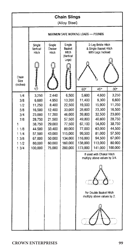| <b>Chain Slings</b><br>(Alloy Steel)                                                |                                                                                                                     |                                                                                                                   |                                                                                                                         |                                                                                                                        |                                                                                                                      |                                                                                                                     |
|-------------------------------------------------------------------------------------|---------------------------------------------------------------------------------------------------------------------|-------------------------------------------------------------------------------------------------------------------|-------------------------------------------------------------------------------------------------------------------------|------------------------------------------------------------------------------------------------------------------------|----------------------------------------------------------------------------------------------------------------------|---------------------------------------------------------------------------------------------------------------------|
|                                                                                     | MAXIMUM SAFE WORKING LOADS - POUNDS                                                                                 |                                                                                                                   |                                                                                                                         |                                                                                                                        |                                                                                                                      |                                                                                                                     |
|                                                                                     | Single<br>Vertical<br>Hitch                                                                                         | Single<br>Choker<br>Hitch                                                                                         | Single<br>Basket<br><b>Hitch</b><br><b>Nertical</b>                                                                     | 2-Lea Bridle Hitch<br>& Single Basket Hitch<br>With Legs Inclined                                                      |                                                                                                                      |                                                                                                                     |
| Chain<br>Size<br>(Inches)                                                           |                                                                                                                     |                                                                                                                   | Legs)                                                                                                                   |                                                                                                                        |                                                                                                                      |                                                                                                                     |
|                                                                                     |                                                                                                                     |                                                                                                                   |                                                                                                                         | 60°                                                                                                                    | 45°                                                                                                                  | 30°                                                                                                                 |
| 1/4<br>3/8<br>1/2<br>5/8<br>3/4<br>7/8<br>1<br>11/8<br>11/4<br>13/8<br>11/2<br>13/4 | 3,250<br>6,600<br>11,250<br>16,500<br>23,000<br>28,750<br>38,750<br>44.500<br>57,500<br>67,000<br>80,000<br>100,000 | 2,440<br>4,950<br>8,400<br>12,400<br>17,200<br>21,500<br>29,000<br>33,400<br>43.000<br>50,000<br>60.000<br>75,000 | 6,500<br>13,200<br>22,500<br>33,000<br>46,000<br>57,500<br>77,500<br>89,000<br>115,000<br>134,000<br>160.000<br>200,000 | 5,600<br>11,400<br>19,500<br>28.600<br>39,800<br>49,800<br>67,100<br>77,000<br>99,500<br>116,000<br>138,000<br>173,000 | 4,600<br>9,300<br>15,900<br>23,300<br>32,500<br>40,600<br>54,800<br>63,000<br>81,000<br>94,500<br>113,000<br>141,000 | 3,250<br>6,600<br>11,250<br>16,500<br>23,000<br>28,750<br>38,750<br>44,500<br>57,500<br>67,000<br>80,000<br>100.000 |
|                                                                                     |                                                                                                                     |                                                                                                                   |                                                                                                                         | If used with Choker Hitch<br>multiply above values by 3/4.<br>For Double Basket Hitch<br>multiply above values by 2.   |                                                                                                                      |                                                                                                                     |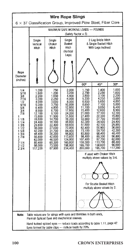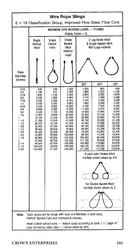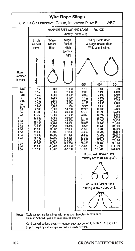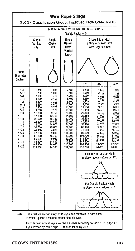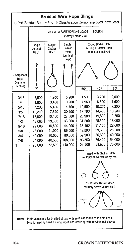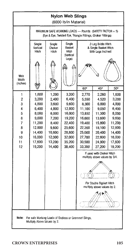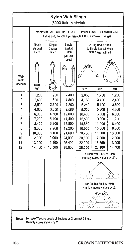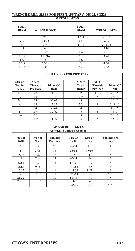# **WRENCH/DRILL SIZES FOR PIPE TAPS/TAP & DRILL SIZES WRENCH SIZES**

| <b>WINDIACH OLLIED</b>     |                    |                               |                    |  |  |  |  |  |
|----------------------------|--------------------|-------------------------------|--------------------|--|--|--|--|--|
| <b>BOLT</b><br><b>DIAM</b> | <b>WRENCH SIZE</b> | <b>BOLT</b><br><b>DIAM</b>    | <b>WRENCH SIZE</b> |  |  |  |  |  |
| $\frac{1}{2}$              | 7/8                | 15/8                          | 29/16              |  |  |  |  |  |
| 5/8                        | 11/16              | $1\frac{3}{4}$                | 2.3/4              |  |  |  |  |  |
| $\frac{3}{4}$              | $1\frac{1}{4}$     | 17/8                          | 2 1 5 / 1 6        |  |  |  |  |  |
| 7/8                        | 17/16              | $\overline{2}$                | 31/8               |  |  |  |  |  |
|                            | 15/8               | $2\frac{1}{4}$                | $3\frac{1}{2}$     |  |  |  |  |  |
| 11/8                       | 1 1 1 / 1 6        | 2 <sub>1/2</sub>              | 37/8               |  |  |  |  |  |
| $1\frac{1}{4}$             | $\mathcal{D}$      | 2 <sup>3</sup> / <sub>4</sub> | $4\frac{1}{4}$     |  |  |  |  |  |
| 13/8                       | 23/16              | 3                             | 45/8               |  |  |  |  |  |
| 11/2                       | 23/8               | $3\frac{1}{2}$                | 53/8               |  |  |  |  |  |

#### **DRILL SIZES FOR PIPE TAPS**

| Size of<br>Tap in<br><b>Inches</b> | No. of<br><b>Threads</b><br>Per Inch | Diam. Of<br>Drill | Size of<br>Tap in<br><b>Inches</b> | No. of<br><b>Threads</b><br>Per Inch | Diam. Of<br>Drill |
|------------------------------------|--------------------------------------|-------------------|------------------------------------|--------------------------------------|-------------------|
| 1/8                                | 27                                   | 11/32             | $\overline{c}$                     | $11\frac{1}{2}$                      | 23/16             |
| $\frac{1}{4}$                      | 18                                   | 7/16              | $2\frac{1}{2}$                     |                                      | 29/16             |
| 3/8                                | 18                                   | 37/64             |                                    | 8                                    | 33/16             |
| 1/2                                | 14                                   | 23/32             | $3\frac{1}{2}$                     |                                      | 3 11/16           |
| $\frac{3}{4}$                      | 14                                   | 59/64             | 4                                  |                                      | 43/16             |
|                                    | $11\frac{1}{2}$                      | 15/32             | $4\frac{1}{2}$                     | 8                                    | $4\frac{3}{4}$    |
| $1\frac{1}{4}$                     | $11\frac{1}{2}$                      | $1\frac{1}{2}$    |                                    |                                      | 55/16             |
| $1\frac{1}{2}$                     | 11 ½                                 | 49/64             | 6                                  | 8                                    | 65/16             |

|                  | <b>TAP AND DRILL SIZES</b><br>(American Standard Coarse) |                            |  |                  |                |                            |  |  |
|------------------|----------------------------------------------------------|----------------------------|--|------------------|----------------|----------------------------|--|--|
| Size of<br>Drill | Size of<br>Tap                                           | <b>Threads</b><br>Per Inch |  | Size of<br>Drill | Size of<br>Tap | <b>Threads Per</b><br>Inch |  |  |
| 7                | $\frac{1}{4}$                                            | 20                         |  | 49/64            | 7/8            | 9                          |  |  |
| F                | 5/16                                                     | 18                         |  | 53/64            | 15/16          | 9                          |  |  |
| 15/16            | 3/8                                                      | 16                         |  | 7/8              |                | 8                          |  |  |
| U                | 7/16                                                     | 14                         |  | 63/64            | 11/8           | $\overline{7}$             |  |  |
| 27/64            | 1/2                                                      | 13                         |  | 17/64            | $1\frac{1}{4}$ | 7                          |  |  |
| 31/64            | 9/16                                                     | 12                         |  | 1 13/64          | 13/8           | 6                          |  |  |
| 17/32            | 5/8                                                      | 11                         |  | 1 1 1/32         | 11/2           | 6                          |  |  |
| 19/32            | 11/16                                                    | 11                         |  | 1 29/64          | 15/8           | $5\frac{1}{2}$             |  |  |
| 21/32            | $\frac{3}{4}$                                            | 10                         |  | 19/16            | $1\frac{3}{4}$ | 5                          |  |  |
| 23/32            | 13/16                                                    | 10                         |  | 1 1 1/16         | 17/8           | 5                          |  |  |
|                  |                                                          |                            |  | 1 2 5 / 3 2      | $\overline{2}$ | $4\frac{1}{2}$             |  |  |

٦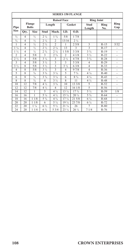| <b>SERIES 150 FLANGE</b> |                 |                        |                |                               |                                |                                |                               |             |                |
|--------------------------|-----------------|------------------------|----------------|-------------------------------|--------------------------------|--------------------------------|-------------------------------|-------------|----------------|
|                          |                 |                        |                | <b>Raised Face</b>            |                                |                                | <b>Ring Joint</b>             |             |                |
| Pipe                     |                 | Flange<br><b>Bolts</b> |                | Length                        | Gasket                         |                                | Stud<br>Length                | Ring<br>No. | Ring<br>Gap    |
| <b>Size</b>              | Qty.            | <b>Size</b>            | Stud           | Mach.                         | LD.                            | O.D.                           |                               |             |                |
| 1/2                      | $\overline{4}$  | 1/2                    | 2.1/a          | 13/4                          | 5/8                            | 17/8                           |                               |             |                |
| $^{3/4}$                 | $\overline{4}$  | 1/2                    | 2.1/a          | $\overline{a}$                | 13/16                          | 2.1/a                          |                               |             |                |
| 1                        | $\overline{4}$  | 1/2                    | 2.1/2          | $\overline{a}$                | 1                              | 25/8                           | 3                             | $R-15$      | 5/32           |
| $1\frac{1}{4}$           | $\overline{4}$  | $\frac{1}{2}$          | 2.1/2          | 2 <sup>1</sup> / <sub>4</sub> | 13                             | 3                              | 3                             | $R-17$      |                |
| $1\frac{1}{2}$           | $\overline{4}$  | 1/2                    | $2\frac{3}{4}$ | $2\frac{1}{4}$                | 15/8                           | 33/8                           | $3^{3}/4$                     | $R-19$      |                |
| $\overline{a}$           | $\overline{4}$  | 5/8                    | 3              | 2.3/4                         | $\overline{a}$                 | 41/8                           | $3\frac{1}{2}$                | $R - 22$    | ä,             |
| 2 <sub>1/2</sub>         | $\overline{4}$  | 5/8                    | $3\frac{1}{4}$ | 3                             | 2 <sub>1/2</sub>               | 47/8                           | 3 <sup>3</sup> / <sub>4</sub> | $R-28$      | ٠              |
| 3                        | $\overline{4}$  | 5/8                    | $3\frac{1}{2}$ | $\overline{\mathbf{3}}$       | 3                              | 53/8                           | 4                             | $R-29$      |                |
| $3\frac{1}{2}$           | $\overline{8}$  | 5/8                    | $3\frac{1}{2}$ | $\overline{\mathbf{3}}$       | $3\frac{1}{2}$                 | 6 3/8                          | $\overline{4}$                | $R-33$      |                |
| 4                        | 8               | 5/8                    | $3\frac{1}{2}$ | $\overline{\mathbf{3}}$       | 4                              | 97/8                           | $\overline{\mathbf{4}}$       | $R-36$      | ٠              |
| 5                        | 8               | $^{3/4}$               | $3^{3}/4$      | $3\frac{1}{4}$                | 5                              | 7 <sup>3</sup> / <sub>4</sub>  | $4\frac{1}{4}$                | $R-40$      |                |
| 6                        | 8               | $^{3}/_{4}$            | $3\frac{3}{4}$ | $3\frac{1}{4}$                | 6                              | $8\frac{3}{4}$                 | $4\frac{1}{4}$                | $R-43$      | ٠              |
| 8                        | 8               | $^{3/4}$               | 4              | $3\frac{1}{2}$                | 8                              | 11                             | $4\frac{1}{2}$                | $R-48$      | ٠              |
| 10                       | $\overline{12}$ | 7/8                    | 4 1/2          | $3^{3}/4$                     | 10                             | 13 3/8                         | 5                             | $R-52$      |                |
| 12                       | $\overline{12}$ | 7/8                    | 4 1/2          | $\overline{4}$                | $\overline{12}$                | 161/8                          | 5                             | $R-56$      |                |
| $\overline{14}$          | 12              | 1                      | 5              | $4\frac{1}{4}$                | $13\frac{1}{4}$                | 17 <sup>3</sup> / <sub>4</sub> | $5\frac{1}{2}$                | $R-59$      | 1/8            |
| 16                       | 16              | 1                      | $5\frac{1}{4}$ | $4\frac{1}{2}$                | $15\frac{1}{4}$                | $20\frac{1}{4}$                | $5\frac{3}{4}$                | $R-64$      | $\overline{a}$ |
| 18                       | $\overline{16}$ | 1/8<br>1               | $5\frac{3}{4}$ | $4\frac{3}{4}$                | 17 <sup>1</sup> / <sub>4</sub> | 215/8                          | $6\frac{1}{4}$                | $R-68$      |                |
| 20                       | 20              | 11/8                   | 6              | $5\frac{1}{4}$                | 19 <sup>1/4</sup>              | 23 7/8                         | $6\frac{1}{4}$                | $R-72$      | ٠              |
| 22                       | 20              | $1\frac{1}{4}$         | $6\frac{1}{2}$ | $5\frac{1}{2}$                | $21\frac{1}{4}$                | 26                             | 7                             | $R-80$      |                |
| 24                       | 20              | 1/4<br>1               | $6\frac{3}{4}$ | 53/4                          | $23\frac{1}{4}$                | $26\frac{1}{4}$                | 71/4                          | $R-76$      |                |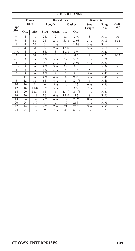|                | <b>SERIES 300 FLANGE</b> |                    |                               |                               |                 |                                |                               |             |                          |
|----------------|--------------------------|--------------------|-------------------------------|-------------------------------|-----------------|--------------------------------|-------------------------------|-------------|--------------------------|
|                |                          | Flange             |                               | <b>Raised Face</b>            |                 |                                | <b>Ring Joint</b>             |             |                          |
| Pipe           | <b>Bolts</b>             |                    |                               | Length                        |                 | Gasket                         | Stud<br>Length                | Ring<br>No. | Ring<br>Gap              |
| <b>Size</b>    | Qty.                     | <b>Size</b>        | Stud                          | Mach.                         | I.D.            | O.D.                           |                               |             |                          |
| 1/2            | 4                        | $\frac{1}{2}$      | 2 <sup>1</sup> / <sub>2</sub> | $\overline{c}$                | 5/8             | 2 <sub>2</sub>                 | $\overline{\mathbf{3}}$       | $R-11$      | 1/5                      |
| $\frac{3}{4}$  | $\overline{4}$           | 5/8                | $2\frac{3}{4}$                | 2 <sub>1/2</sub>              | 13/16           | 25/8                           | $3\frac{1}{4}$                | $R-13$      | 5/32                     |
| 1              | $\overline{4}$           | 5/8                | 3                             | $2\frac{1}{2}$                | 1               | 27/8                           | $3\frac{1}{2}$                | $R-16$      | ä,                       |
| $1\frac{1}{4}$ | $\overline{4}$           | 5/8                | $\overline{\mathbf{3}}$       | $2\frac{3}{4}$                | 15/8            | $3\frac{1}{4}$                 | $3\frac{1}{2}$                | $R-18$      | ÷,                       |
| $1\frac{1}{2}$ | $\overline{4}$           | $\frac{3}{4}$      | $3\frac{1}{2}$                | $\overline{\mathbf{3}}$       | 15/8            | $3\frac{3}{4}$                 | $\overline{4}$                | $R-20$      |                          |
| $\overline{a}$ | 8                        | 5/8                | $3\frac{1}{4}$                | $\overline{\mathbf{3}}$       | $\overline{c}$  | 43                             | $\overline{4}$                | $R-23$      | 7/32                     |
| $2\frac{1}{2}$ | 8                        | $\frac{3}{4}$      | $3\frac{3}{4}$                | $3\frac{1}{4}$                | $2\frac{1}{2}$  | 51/8                           | $4\frac{1}{2}$                | $R-26$      | ٠                        |
| 3              | 8                        | $\frac{3}{4}$      | $\overline{4}$                | $3\frac{1}{2}$                | 3               | 5 7/5                          | $4\frac{3}{4}$                | $R-31$      |                          |
| $3\frac{1}{2}$ | 8                        | $\frac{3}{4}$      | $4\frac{1}{4}$                | $3^{3}/4$                     | $3\frac{1}{2}$  | 6 1/2                          | 5                             | $R - 34$    | ä,                       |
| 4              | 8                        | $\frac{3}{4}$      | $4\frac{1}{4}$                | 3 <sup>3</sup> / <sub>4</sub> | $\overline{4}$  | 7 <sub>1/2</sub>               | 5                             | $R-37$      | $\overline{\phantom{a}}$ |
| 5              | 8                        | $\frac{3}{4}$      | $4\frac{1}{2}$                | $\overline{4}$                | 5               | $8\frac{1}{2}$                 | $5\frac{1}{4}$                | $R-41$      | ٠                        |
| 6              | 12                       | $\frac{3}{4}$      | $4\frac{3}{4}$                | $4\frac{1}{2}$                | 6               | 97/8                           | $5\frac{1}{2}$                | $R-45$      | ٠                        |
| 8              | 12                       | 7/8                | $5\frac{1}{4}$                | $4\frac{3}{4}$                | 8               | 12 1/8                         | 6                             | $R-49$      | ÷,                       |
| 10             | 16                       | 1                  | 6                             | $5\frac{1}{4}$                | 10              | $14\frac{1}{4}$                | $6\frac{3}{4}$                | $R - 53$    | ä,                       |
| 12             | 16                       | 11/8               | 6 1/2                         | $5\frac{3}{4}$                | 12              | 165/8                          | $7\frac{1}{4}$                | $R - 57$    | ä,                       |
| 14             | 20                       | 11/8               | $6\frac{3}{4}$                | 6                             | 13 1/4          | 19 1/8                         | $7\frac{1}{2}$                | $R-61$      | ä,                       |
| 16             | 20                       | $\frac{1}{4}$<br>1 | $7\frac{1}{4}$                | 6 1/2                         | $15\frac{1}{4}$ | $21\frac{1}{4}$                | 8                             | $R-65$      | ÷,                       |
| 18             | 24                       | $\frac{1}{4}$<br>1 | $7\frac{1}{2}$                | $6\frac{3}{4}$                | 17              | $23\frac{1}{2}$                | $8\frac{1}{4}$                | $R-69$      | ÷,                       |
| 20             | 24                       | $1\frac{1}{4}$     | 8                             | 7                             | 19              | 25 3/4                         | $8\frac{3}{4}$                | $R-73$      | ä,                       |
| 22             | 24                       | $1\frac{1}{2}$     | $8\frac{3}{4}$                | 7 <sup>1</sup> / <sub>2</sub> | 21              | 27 <sup>3</sup> / <sub>4</sub> | 9 <sup>3</sup> / <sub>4</sub> | $R-81$      | $\overline{\phantom{m}}$ |
| 24             | 24                       | $1\frac{1}{2}$     | 9                             | $7\frac{3}{4}$                | 23              | 30 1/2                         | 10                            | $R-77$      | ä,                       |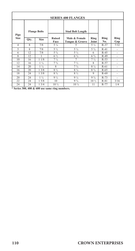| <b>SERIES 400 FLANGES</b> |                    |                     |                       |                                  |                               |             |             |
|---------------------------|--------------------|---------------------|-----------------------|----------------------------------|-------------------------------|-------------|-------------|
| Pipe                      |                    | <b>Flange Bolts</b> |                       | <b>Stud Bolt Length</b>          |                               |             |             |
| <b>Size</b>               | Qty.               | <b>Size</b>         | <b>Raised</b><br>Face | Male & Female<br>Tongue & Groove | Ring<br>Joint                 | Ring<br>No. | Ring<br>Gap |
| $\overline{4}$            | 8                  | 7/8                 | $5\frac{1}{4}$        | 5                                | $5\frac{1}{2}$                | $R-37$      | 7/32        |
| 5                         | $\mathbf{\hat{x}}$ | 7/8                 | $5\frac{1}{2}$        | $5\frac{1}{4}$                   | $5\frac{3}{4}$                | $R-41$      |             |
| 6                         | 12                 | 7/8                 | $5\frac{3}{4}$        | $5\frac{1}{2}$                   | 6                             | $R-45$      | ۰           |
| 8                         | 12                 |                     | 6 1/2                 | $6\frac{1}{4}$                   | $6\frac{3}{4}$                | $R-49$      | ٠           |
| 10                        | 16                 | 11/8                | $7\frac{1}{4}$        | 7                                | 7 <sup>1</sup> / <sub>2</sub> | $R-53$      | ۰           |
| 12                        | 16                 | $1\frac{1}{4}$      | $7\frac{3}{4}$        | $7\frac{1}{2}$                   | 8                             | $R-57$      | ۰           |
| 14                        | 20                 | $1\frac{1}{4}$      | 8                     | $7\frac{3}{4}$                   | $8\frac{1}{4}$                | $R-61$      | ۰           |
| 16                        | 20                 | 13/8                | 8 1/2                 | $8\frac{1}{4}$                   | $8\frac{3}{4}$                | $R-65$      | ٠           |
| 18                        | 24                 | 13/8                | $8\frac{3}{4}$        | $8\frac{1}{2}$                   | 9                             | $R-69$      | ۰           |
| 20                        | 24                 | $1\frac{1}{2}$      | $9\frac{1}{2}$        | $9\frac{1}{4}$                   | $9\frac{3}{4}$                | $R-73$      |             |
| 22                        | 24                 | 15/8                | 10                    | $9\frac{3}{4}$                   | 10 1/2                        | $R-81$      | 3/16        |
| 24                        | 24                 | 13/4                | 10 1/2                | $10\frac{1}{4}$                  | 11                            | $R-77$      | 1/4         |

**\* Series 300, 400 & 600 use same ring numbers.**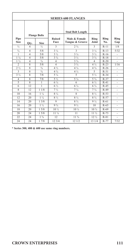| <b>SERIES 600 FLANGES</b>     |                         |                     |                               |                                             |                               |             |                          |
|-------------------------------|-------------------------|---------------------|-------------------------------|---------------------------------------------|-------------------------------|-------------|--------------------------|
|                               |                         | <b>Flange Bolts</b> |                               | <b>Stud Bolt Length</b>                     |                               |             |                          |
| Pipe<br><b>Size</b>           | Qty.                    | <b>Size</b>         | <b>Raised</b><br>Face         | Male & Female<br><b>Tongue &amp; Groove</b> | Ring<br>Joint                 | Ring<br>No. | Ring<br>Gap              |
| 1/2                           | $\overline{4}$          | 1/2                 | $\overline{\mathcal{E}}$      | 2.3/4                                       | $\overline{\mathcal{E}}$      | $R-11$      | 1/8                      |
| $^{3/4}$                      | $\overline{4}$          | 5/8                 | $3\frac{1}{4}$                | $\overline{3}$                              | $3\frac{1}{4}$                | $R-13$      | 5/32                     |
| 1                             | $\overline{4}$          | 5/8                 | $3\frac{1}{2}$                | $3\frac{1}{4}$                              | $3\frac{1}{2}$                | $R-16$      | $\frac{1}{2}$            |
| $1\frac{1}{4}$                | $\overline{4}$          | 5/8                 | 3 <sup>3</sup> / <sub>4</sub> | $3\frac{1}{2}$                              | $3\frac{3}{4}$                | $R-18$      | ä,                       |
| $1\frac{1}{2}$                | $\overline{4}$          | $\frac{3}{4}$       | $\overline{4}$                | $3\frac{3}{4}$                              | $\overline{4}$                | $R-20$      | ä,                       |
| $\overline{2}$                | $\overline{\mathbf{g}}$ | 5/8                 | $\overline{4}$                | $3\frac{3}{4}$                              | $4\frac{1}{2}$                | $R-23$      | 1/16                     |
| 2 <sup>1</sup> / <sub>2</sub> | $\overline{\mathbf{x}}$ | $\frac{3}{4}$       | $4\frac{1}{2}$                | $4\frac{1}{4}$                              | $4\frac{3}{4}$                | $R-26$      | ä,                       |
| 3                             | 8                       | $^{3/4}$            | $4\frac{3}{4}$                | $4\frac{1}{2}$                              | 5                             | $R-31$      | ä,                       |
| $3\frac{1}{2}$                | $\mathbf{8}$            | 7/8                 | $5\frac{1}{4}$                | 5                                           | $5\frac{1}{2}$                | $R-34$      | ä,                       |
| $\overline{4}$                | $\overline{s}$          | 7/8                 | $5\frac{1}{2}$                | $5\frac{1}{4}$                              | $5\frac{3}{4}$                | $R-37$      | $\overline{\phantom{m}}$ |
| 5                             | $\overline{\mathbf{g}}$ | 1                   | $6\frac{1}{4}$                | 6                                           | $6\frac{1}{2}$                | $R-41$      | $\frac{1}{2}$            |
| $\overline{6}$                | 12                      | $\mathbf{1}$        | $6\frac{1}{2}$                | $6\frac{1}{4}$                              | $6\frac{3}{4}$                | $R-45$      | ä,                       |
| $\overline{\mathbf{8}}$       | 12                      | 11/8                | $7\frac{1}{2}$                | $7\frac{1}{4}$                              | $7\frac{3}{4}$                | $R-49$      | $\overline{\phantom{m}}$ |
| 10                            | $\overline{16}$         | $1\frac{1}{4}$      | $8\frac{1}{4}$                | $\overline{8}$                              | $8\frac{1}{2}$                | $R-53$      | ÷,                       |
| 12                            | 20                      | $1\frac{1}{4}$      | $8\frac{1}{2}$                | $8\frac{1}{4}$                              | 8 <sup>3</sup> / <sub>4</sub> | $R-57$      | ÷,                       |
| 14                            | 20                      | 13/8                | 9                             | $8\frac{3}{4}$                              | $9\frac{1}{4}$                | $R-61$      | $\overline{\phantom{m}}$ |
| 16                            | 20                      | $1\frac{1}{2}$      | $9\frac{3}{4}$                | $9\frac{1}{2}$                              | 10                            | $R-65$      | ÷,                       |
| 18                            | 20                      | 15/8                | $10\frac{1}{2}$               | 10 <sub>4</sub>                             | 10 %                          | $R-69$      | $\overline{\phantom{m}}$ |
| 20                            | 24                      | 15/8                | $11\frac{1}{4}$               | 11                                          | 11 <sup>1</sup>               | $R-73$      | ä,                       |
| 22                            | 24                      | $1\frac{3}{4}$      | 12                            | 11 %                                        | 12 1/2                        | $R-81$      | ÷,                       |
| 24                            | 24                      | 17/8                | 12 3/4                        | 121/2                                       | 13 1/4                        | $R-77$      | 7/32                     |

**\* Series 300, 400 & 600 use same ring numbers.**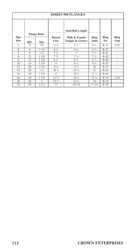| <b>SERIES 900 FLANGES</b> |      |                           |                       |                                             |                 |             |             |  |
|---------------------------|------|---------------------------|-----------------------|---------------------------------------------|-----------------|-------------|-------------|--|
|                           |      | <b>Flange Bolts</b>       |                       | <b>Stud Bolt Length</b>                     |                 |             |             |  |
| Pipe<br><b>Size</b>       | Qty. | <b>Size</b>               | <b>Raised</b><br>Face | Male & Female<br><b>Tongue &amp; Groove</b> | Ring<br>Joint   | Ring<br>No. | Ring<br>Gap |  |
| $\mathfrak{D}$            | 8    | 7/8                       | $5\frac{1}{2}$        | $5\frac{1}{4}$                              | $5\frac{3}{4}$  | $R-31$      | 5/32        |  |
| 4                         | 8    | 11/8                      | 6 %                   | $6\frac{1}{4}$                              | $6\frac{3}{4}$  | $R-37$      | ٠           |  |
| $\overline{5}$            | 8    | $1\frac{1}{4}$            | $7\frac{1}{4}$        | 7                                           | $7\frac{1}{2}$  | $R-41$      | ٠           |  |
| 6                         | 12   | 11/8                      | $7\frac{1}{2}$        | $7\frac{1}{4}$                              | $7\frac{1}{2}$  | $R-45$      | ٠           |  |
| 8                         | 12   | 1.3/8                     | $8\frac{1}{2}$        | $8\frac{1}{4}$                              | $8\frac{3}{4}$  | $R-49$      | ٠           |  |
| 10                        | 16   | 13/8                      | 9                     | $8\frac{3}{4}$                              | $9\frac{1}{4}$  | $R-53$      | ٠           |  |
| 12                        | 20   | 13/8                      | $9\frac{3}{4}$        | $9\frac{1}{2}$                              | 10              | $R-57$      | ٠           |  |
| 14                        | 20   | $1\frac{1}{2}$            | 10 1/2                | 10 <sub>4</sub>                             | 11              | $R-62$      | ٠           |  |
| 16                        | 20   | 15/8                      | 11                    | 10 <sup>3</sup> / <sub>4</sub>              | 11 <sub>1</sub> | $R-66$      | ٠           |  |
| 18                        | 20   | 17/8                      | $12\frac{3}{4}$       | $12\frac{1}{2}$                             | $13\frac{1}{4}$ | $R-70$      | 3/16        |  |
| 20                        | 20   | $\overline{\mathfrak{L}}$ | $13\frac{1}{2}$       | $13\frac{1}{4}$                             | 14              | $R-74$      | ٠           |  |
| 24                        | 20   | 21/2                      | 17                    | 16 3/4                                      | 17 3/4          | $R-78$      | ٠           |  |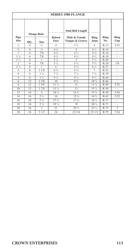| <b>SERIES 1500 FLANGE</b> |                         |                           |                 |                                          |                 |        |                          |  |
|---------------------------|-------------------------|---------------------------|-----------------|------------------------------------------|-----------------|--------|--------------------------|--|
| Pipe                      | <b>Flange Bolts</b>     |                           | <b>Raised</b>   | <b>Stud Bolt Length</b><br>Male & Female | Ring            | Ring   | Ring                     |  |
| <b>Size</b>               | Qty.                    | <b>Size</b>               | Face            | Tongue & Groove                          | Joint           | No.    | Gap                      |  |
| 1/2                       | $\overline{4}$          | 3/4                       | 4               | $3\frac{3}{4}$                           | 4               | $R-12$ | 5/32                     |  |
| $\frac{3}{4}$             | $\overline{4}$          | $\frac{3}{4}$             | $4\frac{1}{4}$  | $\overline{4}$                           | $4\frac{1}{2}$  | $R-14$ | $\overline{\phantom{0}}$ |  |
| 1                         | $\overline{4}$          | 7/8                       | $4\frac{3}{4}$  | $4\frac{1}{2}$                           | $4\frac{3}{4}$  | $R-16$ | $\overline{\phantom{m}}$ |  |
| $1\frac{1}{4}$            | $\overline{4}$          | 7/8                       | $4\frac{3}{4}$  | $4\frac{1}{2}$                           | $4\frac{3}{4}$  | $R-18$ | $\overline{\phantom{a}}$ |  |
| $1\frac{1}{2}$            | $\overline{4}$          | 1                         | $5\frac{1}{4}$  | 5                                        | $5\frac{1}{4}$  | $R-20$ |                          |  |
| $\overline{2}$            | 8                       | 7/8                       | $5\frac{1}{2}$  | $5\frac{1}{4}$                           | $5\frac{3}{4}$  | $R-24$ | 1/8                      |  |
| $2\frac{1}{2}$            | $\overline{8}$          | 1                         | 6               | $5\frac{3}{4}$                           | $6\frac{1}{4}$  | $R-27$ | ä,                       |  |
| 3                         | 8                       | 11/8                      | $6\frac{3}{4}$  | $6\frac{1}{2}$                           | $\overline{7}$  | $R-35$ | $\frac{1}{2}$            |  |
| $\overline{4}$            | $\overline{8}$          | $1\frac{1}{4}$            | $7\frac{1}{2}$  | $7\frac{1}{4}$                           | $7\frac{3}{4}$  | $R-39$ | ä,                       |  |
| 5                         | $\overline{\mathbf{x}}$ | $1\frac{1}{2}$            | $9\frac{1}{2}$  | $9\frac{1}{4}$                           | $9\frac{3}{4}$  | $R-44$ | ä,                       |  |
| 6                         | 12                      | 13/8                      | 10              | $9\frac{3}{4}$                           | 10 <sub>4</sub> | $R-46$ |                          |  |
| $\boldsymbol{8}$          | 12                      | 15/8                      | $11\frac{1}{4}$ | 11                                       | 11 %            | $R-50$ | 5/32                     |  |
| 10                        | 12                      | 17/8                      | $13\frac{1}{4}$ | 13                                       | 13 %            | $R-54$ | ÷,                       |  |
| 12                        | 16                      | $\overline{\mathfrak{L}}$ | 14 %            | 14 1/2                                   | $15\frac{1}{4}$ | $R-58$ | 3/16                     |  |
| 14                        | 16                      | 2.1/4                     | 16              | $15\frac{3}{4}$                          | $16\frac{3}{4}$ | $R-63$ | 5/32                     |  |
| 16                        | 16                      | 2.1/2                     | 17 <sub>2</sub> | 17 <sup>1</sup> / <sub>4</sub>           | 18 1/2          | $R-71$ | ÷,                       |  |
| 18                        | 16                      | 2.3/4                     | $19\frac{1}{4}$ | 19                                       | $20\frac{1}{4}$ | $R-71$ | ÷,                       |  |
| 20                        | 16                      | $\mathbf{3}$              | 21              | $20\frac{3}{4}$                          | 22.1/4          | $R-75$ | 3                        |  |
| 24                        | 16                      | 31/2                      | 24              | 233/4                                    | 251/2           | R.79   | 7/16                     |  |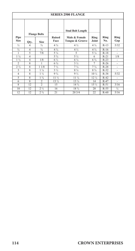| <b>SERIES 2500 FLANGE</b> |                          |                           |                       |                                  |                 |             |             |  |
|---------------------------|--------------------------|---------------------------|-----------------------|----------------------------------|-----------------|-------------|-------------|--|
|                           |                          | <b>Flange Bolts</b>       |                       | <b>Stud Bolt Length</b>          |                 |             |             |  |
| Pipe<br><b>Size</b>       | Qty.                     | <b>Size</b>               | <b>Raised</b><br>Face | Male & Female<br>Tongue & Groove | Ring<br>Joint   | Ring<br>No. | Ring<br>Gap |  |
| $\frac{1}{2}$             | 4                        | $\frac{3}{4}$             | $4\frac{3}{4}$        | $4\frac{1}{2}$                   | $4\frac{3}{4}$  | $R-13$      | 5/32        |  |
| $\frac{3}{4}$             | 4                        | $\frac{3}{4}$             | $4\frac{3}{4}$        | $4\frac{1}{2}$                   | $4\frac{3}{4}$  | $R-16$      | ٠           |  |
| 1                         | $\overline{\phantom{1}}$ | 7/8                       | $5\frac{1}{4}$        | $\overline{5}$                   | $5\frac{1}{4}$  | $R-18$      | ٠           |  |
| $1\frac{1}{4}$            | $\overline{4}$           |                           | $5\frac{3}{4}$        | $5\frac{1}{2}$                   | 6               | $R-21$      | 1/8         |  |
| $1\frac{1}{2}$            | $\overline{4}$           | 1/8                       | $6\frac{1}{2}$        | $6\frac{1}{4}$                   | $6\frac{3}{4}$  | $R-23$      | ٠           |  |
| $\overline{\mathfrak{L}}$ | 8                        | 1                         | $6\frac{3}{4}$        | $3\frac{1}{2}$                   | 7               | $R-26$      | ٠           |  |
| $2\frac{1}{2}$            | 8                        | 11/8                      | $7\frac{1}{2}$        | $7\frac{1}{4}$                   | $7\frac{3}{4}$  | $R-28$      | ٠           |  |
| 3                         | 8                        | $1\frac{1}{4}$            | $3\frac{1}{2}$        | $8\frac{1}{4}$                   | $8\frac{3}{4}$  | $R-32$      |             |  |
| 4                         | 8                        | $1\frac{1}{2}$            | $9\frac{3}{4}$        | $9\frac{1}{2}$                   | 10 1/4          | $R-38$      | 5/32        |  |
| 5                         | 8                        | $1\frac{3}{4}$            | $11\frac{1}{2}$       | $11\frac{1}{4}$                  | $12\frac{1}{4}$ | $R-42$      | ÷,          |  |
| 6                         | 8                        | $\overline{\mathfrak{L}}$ | $13\frac{1}{2}$       | $13\frac{1}{4}$                  | 14              | $R-47$      | ٠           |  |
| 8                         | 12                       | $\overline{2}$            | 15                    | 14 %                             | 15 1/2          | $R-51$      | 3/16        |  |
| 10                        | 12                       | 2.1/2                     | 16                    | 18 %                             | 20              | $R-55$      | ¼           |  |
| 12                        | 12                       | 2.3/4                     | 2.1                   | 20 3/4                           | 22              | $R-60$      | 5/16        |  |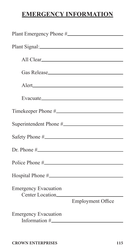# **EMERGENCY INFORMATION**

| Evacuate <b>Example 2018</b> |  |  |  |  |  |  |
|------------------------------|--|--|--|--|--|--|
|                              |  |  |  |  |  |  |
|                              |  |  |  |  |  |  |
| Safety Phone #.              |  |  |  |  |  |  |
|                              |  |  |  |  |  |  |
|                              |  |  |  |  |  |  |
|                              |  |  |  |  |  |  |
|                              |  |  |  |  |  |  |
| <b>Employment Office</b>     |  |  |  |  |  |  |
|                              |  |  |  |  |  |  |
|                              |  |  |  |  |  |  |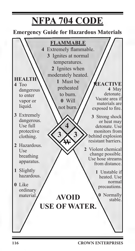# **NFPA 704 CODE**

### **Emergency Guide for Hazardous Materials**